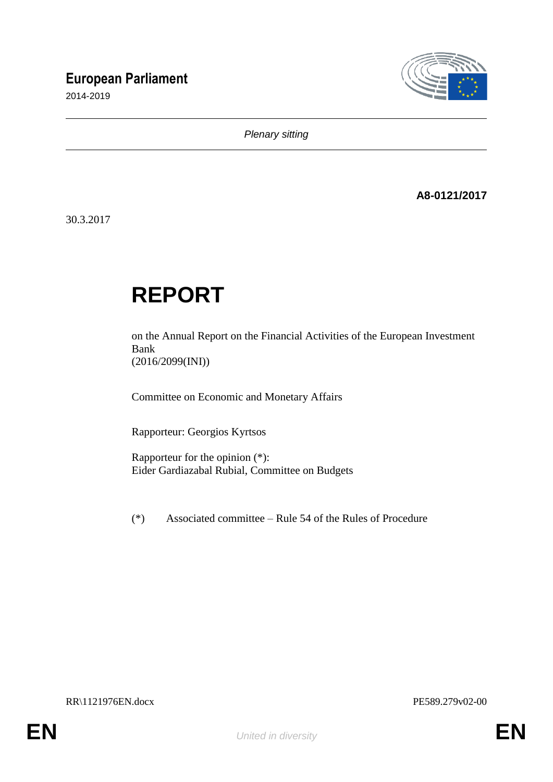## **European Parliament**

2014-2019



*Plenary sitting*

**A8-0121/2017**

30.3.2017

# **REPORT**

on the Annual Report on the Financial Activities of the European Investment Bank (2016/2099(INI))

Committee on Economic and Monetary Affairs

Rapporteur: Georgios Kyrtsos

Rapporteur for the opinion (\*): Eider Gardiazabal Rubial, Committee on Budgets

(\*) Associated committee – Rule 54 of the Rules of Procedure

RR\1121976EN.docx PE589.279v02-00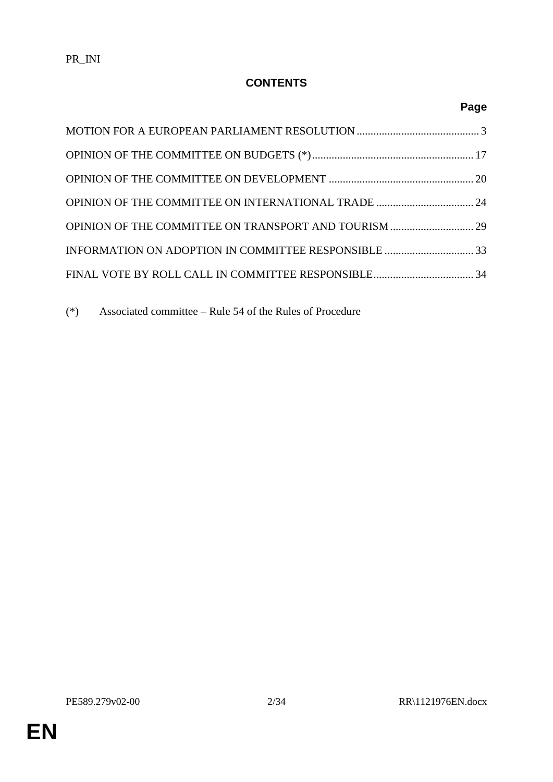## **CONTENTS**

## **Page**

(\*) Associated committee – Rule 54 of the Rules of Procedure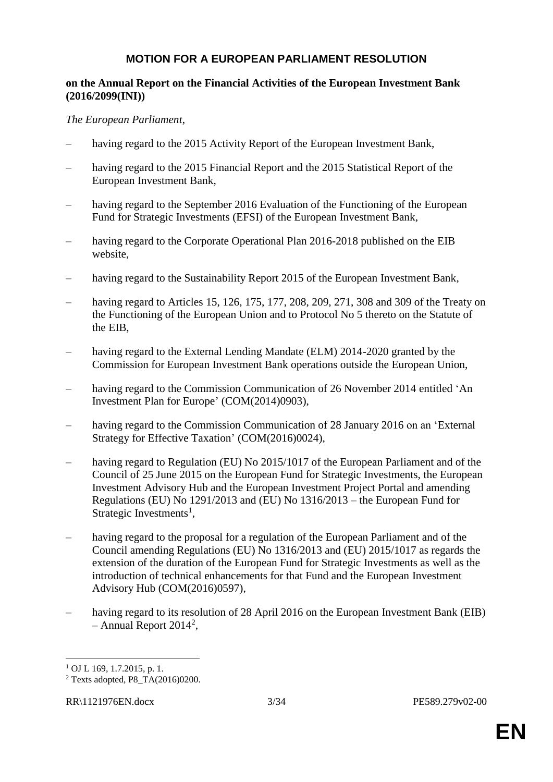#### **MOTION FOR A EUROPEAN PARLIAMENT RESOLUTION**

#### **on the Annual Report on the Financial Activities of the European Investment Bank (2016/2099(INI))**

#### *The European Parliament*,

- having regard to the 2015 Activity Report of the European Investment Bank,
- having regard to the 2015 Financial Report and the 2015 Statistical Report of the European Investment Bank,
- having regard to the September 2016 Evaluation of the Functioning of the European Fund for Strategic Investments (EFSI) of the European Investment Bank,
- having regard to the Corporate Operational Plan 2016-2018 published on the EIB website,
- having regard to the Sustainability Report 2015 of the European Investment Bank,
- having regard to Articles 15, 126, 175, 177, 208, 209, 271, 308 and 309 of the Treaty on the Functioning of the European Union and to Protocol No 5 thereto on the Statute of the EIB,
- having regard to the External Lending Mandate (ELM) 2014-2020 granted by the Commission for European Investment Bank operations outside the European Union,
- having regard to the Commission Communication of 26 November 2014 entitled 'An Investment Plan for Europe' (COM(2014)0903),
- having regard to the Commission Communication of 28 January 2016 on an 'External Strategy for Effective Taxation' (COM(2016)0024),
- having regard to Regulation (EU) No 2015/1017 of the European Parliament and of the Council of 25 June 2015 on the European Fund for Strategic Investments, the European Investment Advisory Hub and the European Investment Project Portal and amending Regulations (EU) No 1291/2013 and (EU) No 1316/2013 – the European Fund for Strategic Investments<sup>1</sup>,
- having regard to the proposal for a regulation of the European Parliament and of the Council amending Regulations (EU) No 1316/2013 and (EU) 2015/1017 as regards the extension of the duration of the European Fund for Strategic Investments as well as the introduction of technical enhancements for that Fund and the European Investment Advisory Hub (COM(2016)0597),
- having regard to its resolution of 28 April 2016 on the European Investment Bank (EIB)  $-$  Annual Report 2014<sup>2</sup>,

 $\overline{a}$ 

 $1$  OJ L 169, 1.7.2015, p. 1.

<sup>2</sup> Texts adopted, P8\_TA(2016)0200.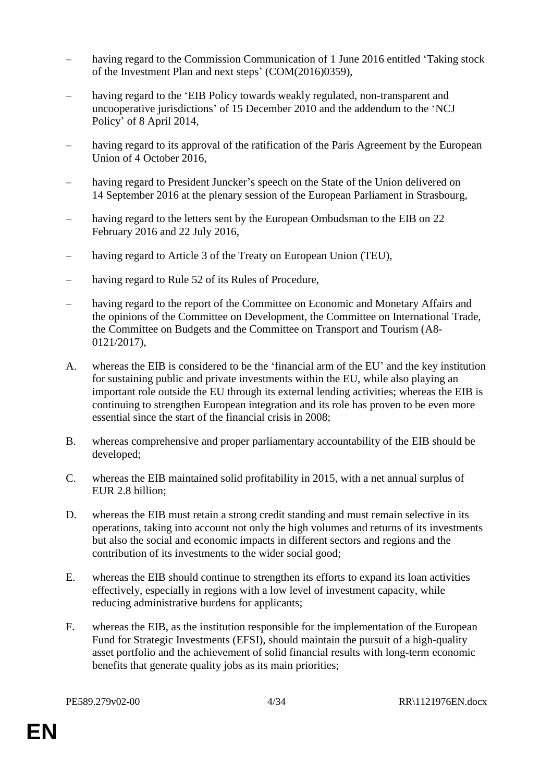- having regard to the Commission Communication of 1 June 2016 entitled 'Taking stock of the Investment Plan and next steps' (COM(2016)0359),
- having regard to the 'EIB Policy towards weakly regulated, non-transparent and uncooperative jurisdictions' of 15 December 2010 and the addendum to the 'NCJ Policy' of 8 April 2014,
- having regard to its approval of the ratification of the Paris Agreement by the European Union of 4 October 2016,
- having regard to President Juncker's speech on the State of the Union delivered on 14 September 2016 at the plenary session of the European Parliament in Strasbourg,
- having regard to the letters sent by the European Ombudsman to the EIB on 22 February 2016 and 22 July 2016,
- having regard to Article 3 of the Treaty on European Union (TEU),
- having regard to Rule 52 of its Rules of Procedure,
- having regard to the report of the Committee on Economic and Monetary Affairs and the opinions of the Committee on Development, the Committee on International Trade, the Committee on Budgets and the Committee on Transport and Tourism (A8- 0121/2017),
- A. whereas the EIB is considered to be the 'financial arm of the EU' and the key institution for sustaining public and private investments within the EU, while also playing an important role outside the EU through its external lending activities; whereas the EIB is continuing to strengthen European integration and its role has proven to be even more essential since the start of the financial crisis in 2008;
- B. whereas comprehensive and proper parliamentary accountability of the EIB should be developed;
- C. whereas the EIB maintained solid profitability in 2015, with a net annual surplus of EUR 2.8 billion;
- D. whereas the EIB must retain a strong credit standing and must remain selective in its operations, taking into account not only the high volumes and returns of its investments but also the social and economic impacts in different sectors and regions and the contribution of its investments to the wider social good;
- E. whereas the EIB should continue to strengthen its efforts to expand its loan activities effectively, especially in regions with a low level of investment capacity, while reducing administrative burdens for applicants;
- F. whereas the EIB, as the institution responsible for the implementation of the European Fund for Strategic Investments (EFSI), should maintain the pursuit of a high-quality asset portfolio and the achievement of solid financial results with long-term economic benefits that generate quality jobs as its main priorities;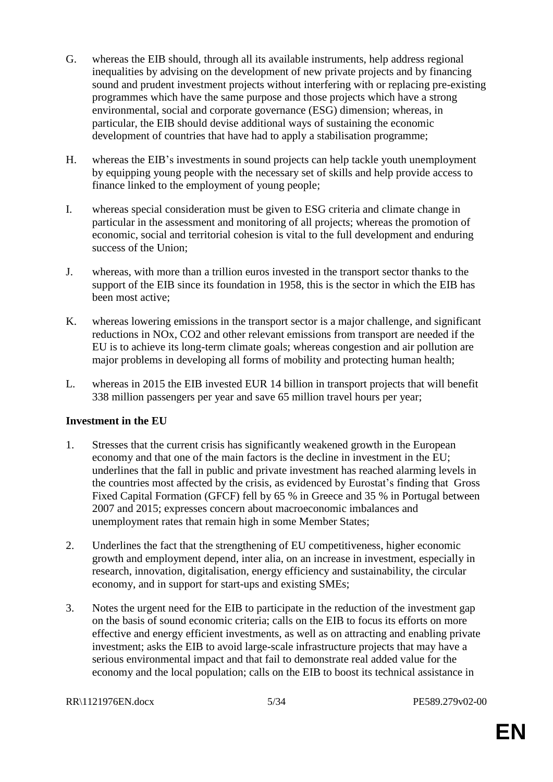- G. whereas the EIB should, through all its available instruments, help address regional inequalities by advising on the development of new private projects and by financing sound and prudent investment projects without interfering with or replacing pre-existing programmes which have the same purpose and those projects which have a strong environmental, social and corporate governance (ESG) dimension; whereas, in particular, the EIB should devise additional ways of sustaining the economic development of countries that have had to apply a stabilisation programme;
- H. whereas the EIB's investments in sound projects can help tackle youth unemployment by equipping young people with the necessary set of skills and help provide access to finance linked to the employment of young people;
- I. whereas special consideration must be given to ESG criteria and climate change in particular in the assessment and monitoring of all projects; whereas the promotion of economic, social and territorial cohesion is vital to the full development and enduring success of the Union;
- J. whereas, with more than a trillion euros invested in the transport sector thanks to the support of the EIB since its foundation in 1958, this is the sector in which the EIB has been most active;
- K. whereas lowering emissions in the transport sector is a major challenge, and significant reductions in NOx, CO2 and other relevant emissions from transport are needed if the EU is to achieve its long-term climate goals; whereas congestion and air pollution are major problems in developing all forms of mobility and protecting human health;
- L. whereas in 2015 the EIB invested EUR 14 billion in transport projects that will benefit 338 million passengers per year and save 65 million travel hours per year;

#### **Investment in the EU**

- 1. Stresses that the current crisis has significantly weakened growth in the European economy and that one of the main factors is the decline in investment in the EU; underlines that the fall in public and private investment has reached alarming levels in the countries most affected by the crisis, as evidenced by Eurostat's finding that Gross Fixed Capital Formation (GFCF) fell by 65 % in Greece and 35 % in Portugal between 2007 and 2015; expresses concern about macroeconomic imbalances and unemployment rates that remain high in some Member States;
- 2. Underlines the fact that the strengthening of EU competitiveness, higher economic growth and employment depend, inter alia, on an increase in investment, especially in research, innovation, digitalisation, energy efficiency and sustainability, the circular economy, and in support for start-ups and existing SMEs;
- 3. Notes the urgent need for the EIB to participate in the reduction of the investment gap on the basis of sound economic criteria; calls on the EIB to focus its efforts on more effective and energy efficient investments, as well as on attracting and enabling private investment; asks the EIB to avoid large-scale infrastructure projects that may have a serious environmental impact and that fail to demonstrate real added value for the economy and the local population; calls on the EIB to boost its technical assistance in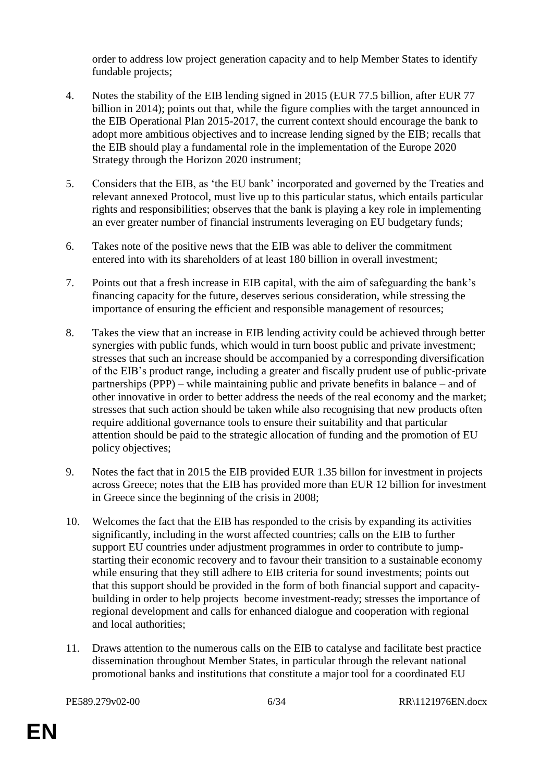order to address low project generation capacity and to help Member States to identify fundable projects;

- 4. Notes the stability of the EIB lending signed in 2015 (EUR 77.5 billion, after EUR 77 billion in 2014); points out that, while the figure complies with the target announced in the EIB Operational Plan 2015-2017, the current context should encourage the bank to adopt more ambitious objectives and to increase lending signed by the EIB; recalls that the EIB should play a fundamental role in the implementation of the Europe 2020 Strategy through the Horizon 2020 instrument;
- 5. Considers that the EIB, as 'the EU bank' incorporated and governed by the Treaties and relevant annexed Protocol, must live up to this particular status, which entails particular rights and responsibilities; observes that the bank is playing a key role in implementing an ever greater number of financial instruments leveraging on EU budgetary funds;
- 6. Takes note of the positive news that the EIB was able to deliver the commitment entered into with its shareholders of at least 180 billion in overall investment;
- 7. Points out that a fresh increase in EIB capital, with the aim of safeguarding the bank's financing capacity for the future, deserves serious consideration, while stressing the importance of ensuring the efficient and responsible management of resources;
- 8. Takes the view that an increase in EIB lending activity could be achieved through better synergies with public funds, which would in turn boost public and private investment; stresses that such an increase should be accompanied by a corresponding diversification of the EIB's product range, including a greater and fiscally prudent use of public-private partnerships (PPP) – while maintaining public and private benefits in balance – and of other innovative in order to better address the needs of the real economy and the market; stresses that such action should be taken while also recognising that new products often require additional governance tools to ensure their suitability and that particular attention should be paid to the strategic allocation of funding and the promotion of EU policy objectives;
- 9. Notes the fact that in 2015 the EIB provided EUR 1.35 billon for investment in projects across Greece; notes that the EIB has provided more than EUR 12 billion for investment in Greece since the beginning of the crisis in 2008;
- 10. Welcomes the fact that the EIB has responded to the crisis by expanding its activities significantly, including in the worst affected countries; calls on the EIB to further support EU countries under adjustment programmes in order to contribute to jumpstarting their economic recovery and to favour their transition to a sustainable economy while ensuring that they still adhere to EIB criteria for sound investments; points out that this support should be provided in the form of both financial support and capacitybuilding in order to help projects become investment-ready; stresses the importance of regional development and calls for enhanced dialogue and cooperation with regional and local authorities;
- 11. Draws attention to the numerous calls on the EIB to catalyse and facilitate best practice dissemination throughout Member States, in particular through the relevant national promotional banks and institutions that constitute a major tool for a coordinated EU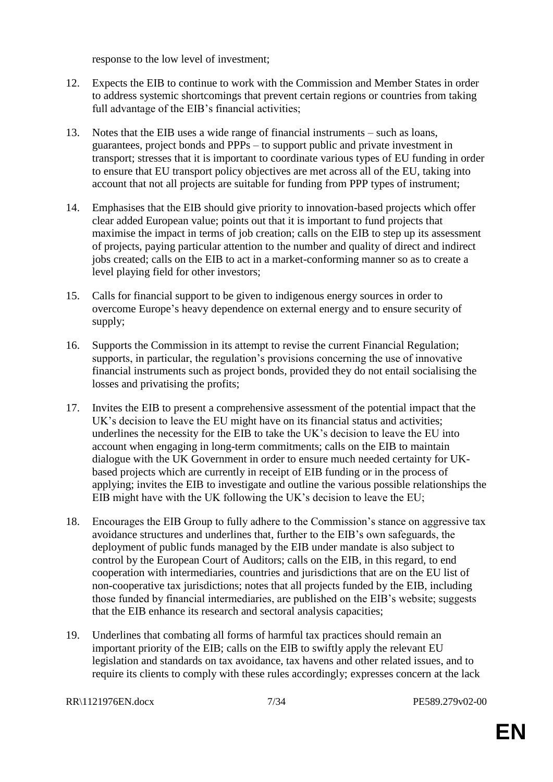response to the low level of investment;

- 12. Expects the EIB to continue to work with the Commission and Member States in order to address systemic shortcomings that prevent certain regions or countries from taking full advantage of the EIB's financial activities;
- 13. Notes that the EIB uses a wide range of financial instruments such as loans, guarantees, project bonds and PPPs – to support public and private investment in transport; stresses that it is important to coordinate various types of EU funding in order to ensure that EU transport policy objectives are met across all of the EU, taking into account that not all projects are suitable for funding from PPP types of instrument;
- 14. Emphasises that the EIB should give priority to innovation-based projects which offer clear added European value; points out that it is important to fund projects that maximise the impact in terms of job creation; calls on the EIB to step up its assessment of projects, paying particular attention to the number and quality of direct and indirect jobs created; calls on the EIB to act in a market-conforming manner so as to create a level playing field for other investors;
- 15. Calls for financial support to be given to indigenous energy sources in order to overcome Europe's heavy dependence on external energy and to ensure security of supply;
- 16. Supports the Commission in its attempt to revise the current Financial Regulation; supports, in particular, the regulation's provisions concerning the use of innovative financial instruments such as project bonds, provided they do not entail socialising the losses and privatising the profits;
- 17. Invites the EIB to present a comprehensive assessment of the potential impact that the UK's decision to leave the EU might have on its financial status and activities; underlines the necessity for the EIB to take the UK's decision to leave the EU into account when engaging in long-term commitments; calls on the EIB to maintain dialogue with the UK Government in order to ensure much needed certainty for UKbased projects which are currently in receipt of EIB funding or in the process of applying; invites the EIB to investigate and outline the various possible relationships the EIB might have with the UK following the UK's decision to leave the EU;
- 18. Encourages the EIB Group to fully adhere to the Commission's stance on aggressive tax avoidance structures and underlines that, further to the EIB's own safeguards, the deployment of public funds managed by the EIB under mandate is also subject to control by the European Court of Auditors; calls on the EIB, in this regard, to end cooperation with intermediaries, countries and jurisdictions that are on the EU list of non-cooperative tax jurisdictions; notes that all projects funded by the EIB, including those funded by financial intermediaries, are published on the EIB's website; suggests that the EIB enhance its research and sectoral analysis capacities;
- 19. Underlines that combating all forms of harmful tax practices should remain an important priority of the EIB; calls on the EIB to swiftly apply the relevant EU legislation and standards on tax avoidance, tax havens and other related issues, and to require its clients to comply with these rules accordingly; expresses concern at the lack

RR\1121976EN.docx 7/34 PE589.279v02-00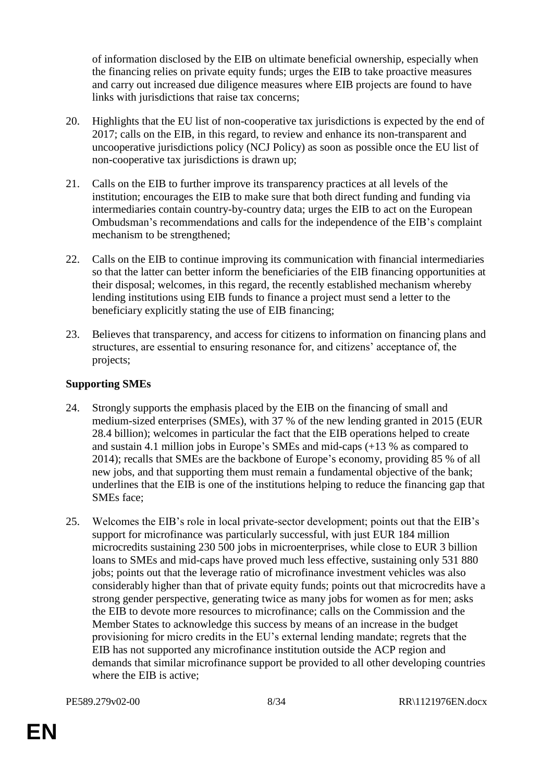of information disclosed by the EIB on ultimate beneficial ownership, especially when the financing relies on private equity funds; urges the EIB to take proactive measures and carry out increased due diligence measures where EIB projects are found to have links with jurisdictions that raise tax concerns;

- 20. Highlights that the EU list of non-cooperative tax jurisdictions is expected by the end of 2017; calls on the EIB, in this regard, to review and enhance its non-transparent and uncooperative jurisdictions policy (NCJ Policy) as soon as possible once the EU list of non-cooperative tax jurisdictions is drawn up;
- 21. Calls on the EIB to further improve its transparency practices at all levels of the institution; encourages the EIB to make sure that both direct funding and funding via intermediaries contain country-by-country data; urges the EIB to act on the European Ombudsman's recommendations and calls for the independence of the EIB's complaint mechanism to be strengthened;
- 22. Calls on the EIB to continue improving its communication with financial intermediaries so that the latter can better inform the beneficiaries of the EIB financing opportunities at their disposal; welcomes, in this regard, the recently established mechanism whereby lending institutions using EIB funds to finance a project must send a letter to the beneficiary explicitly stating the use of EIB financing;
- 23. Believes that transparency, and access for citizens to information on financing plans and structures, are essential to ensuring resonance for, and citizens' acceptance of, the projects;

### **Supporting SMEs**

- 24. Strongly supports the emphasis placed by the EIB on the financing of small and medium-sized enterprises (SMEs), with 37 % of the new lending granted in 2015 (EUR 28.4 billion); welcomes in particular the fact that the EIB operations helped to create and sustain 4.1 million jobs in Europe's SMEs and mid-caps (+13 % as compared to 2014); recalls that SMEs are the backbone of Europe's economy, providing 85 % of all new jobs, and that supporting them must remain a fundamental objective of the bank; underlines that the EIB is one of the institutions helping to reduce the financing gap that SMEs face;
- 25. Welcomes the EIB's role in local private-sector development; points out that the EIB's support for microfinance was particularly successful, with just EUR 184 million microcredits sustaining 230 500 jobs in microenterprises, while close to EUR 3 billion loans to SMEs and mid-caps have proved much less effective, sustaining only 531 880 jobs; points out that the leverage ratio of microfinance investment vehicles was also considerably higher than that of private equity funds; points out that microcredits have a strong gender perspective, generating twice as many jobs for women as for men; asks the EIB to devote more resources to microfinance; calls on the Commission and the Member States to acknowledge this success by means of an increase in the budget provisioning for micro credits in the EU's external lending mandate; regrets that the EIB has not supported any microfinance institution outside the ACP region and demands that similar microfinance support be provided to all other developing countries where the EIB is active;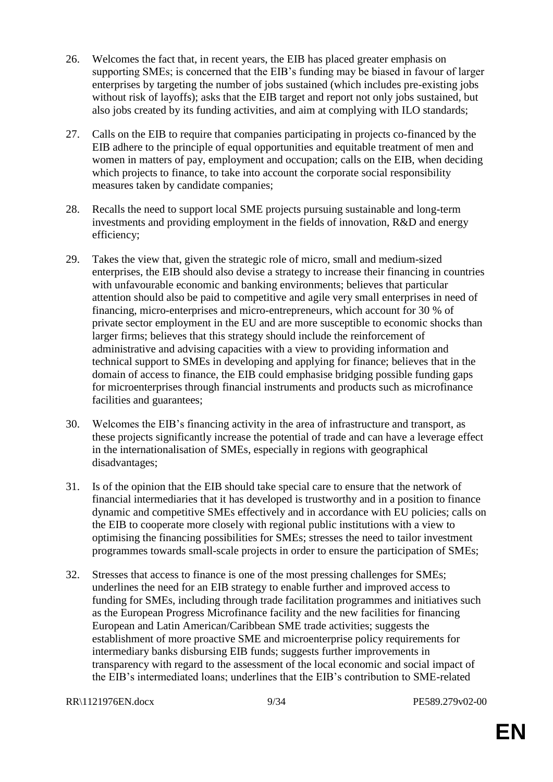- 26. Welcomes the fact that, in recent years, the EIB has placed greater emphasis on supporting SMEs; is concerned that the EIB's funding may be biased in favour of larger enterprises by targeting the number of jobs sustained (which includes pre-existing jobs without risk of layoffs); asks that the EIB target and report not only jobs sustained, but also jobs created by its funding activities, and aim at complying with ILO standards;
- 27. Calls on the EIB to require that companies participating in projects co-financed by the EIB adhere to the principle of equal opportunities and equitable treatment of men and women in matters of pay, employment and occupation; calls on the EIB, when deciding which projects to finance, to take into account the corporate social responsibility measures taken by candidate companies;
- 28. Recalls the need to support local SME projects pursuing sustainable and long-term investments and providing employment in the fields of innovation, R&D and energy efficiency;
- 29. Takes the view that, given the strategic role of micro, small and medium-sized enterprises, the EIB should also devise a strategy to increase their financing in countries with unfavourable economic and banking environments; believes that particular attention should also be paid to competitive and agile very small enterprises in need of financing, micro-enterprises and micro-entrepreneurs, which account for 30 % of private sector employment in the EU and are more susceptible to economic shocks than larger firms; believes that this strategy should include the reinforcement of administrative and advising capacities with a view to providing information and technical support to SMEs in developing and applying for finance; believes that in the domain of access to finance, the EIB could emphasise bridging possible funding gaps for microenterprises through financial instruments and products such as microfinance facilities and guarantees;
- 30. Welcomes the EIB's financing activity in the area of infrastructure and transport, as these projects significantly increase the potential of trade and can have a leverage effect in the internationalisation of SMEs, especially in regions with geographical disadvantages;
- 31. Is of the opinion that the EIB should take special care to ensure that the network of financial intermediaries that it has developed is trustworthy and in a position to finance dynamic and competitive SMEs effectively and in accordance with EU policies; calls on the EIB to cooperate more closely with regional public institutions with a view to optimising the financing possibilities for SMEs; stresses the need to tailor investment programmes towards small-scale projects in order to ensure the participation of SMEs;
- 32. Stresses that access to finance is one of the most pressing challenges for SMEs; underlines the need for an EIB strategy to enable further and improved access to funding for SMEs, including through trade facilitation programmes and initiatives such as the European Progress Microfinance facility and the new facilities for financing European and Latin American/Caribbean SME trade activities; suggests the establishment of more proactive SME and microenterprise policy requirements for intermediary banks disbursing EIB funds; suggests further improvements in transparency with regard to the assessment of the local economic and social impact of the EIB's intermediated loans; underlines that the EIB's contribution to SME-related

```
RR\1121976EN.docx 9/34 PE589.279v02-00
```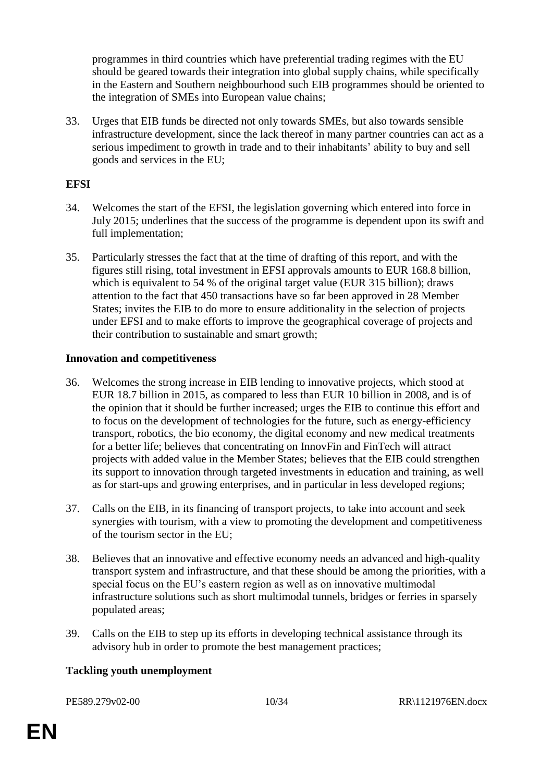programmes in third countries which have preferential trading regimes with the EU should be geared towards their integration into global supply chains, while specifically in the Eastern and Southern neighbourhood such EIB programmes should be oriented to the integration of SMEs into European value chains;

33. Urges that EIB funds be directed not only towards SMEs, but also towards sensible infrastructure development, since the lack thereof in many partner countries can act as a serious impediment to growth in trade and to their inhabitants' ability to buy and sell goods and services in the EU;

#### **EFSI**

- 34. Welcomes the start of the EFSI, the legislation governing which entered into force in July 2015; underlines that the success of the programme is dependent upon its swift and full implementation;
- 35. Particularly stresses the fact that at the time of drafting of this report, and with the figures still rising, total investment in EFSI approvals amounts to EUR 168.8 billion, which is equivalent to 54 % of the original target value (EUR 315 billion); draws attention to the fact that 450 transactions have so far been approved in 28 Member States; invites the EIB to do more to ensure additionality in the selection of projects under EFSI and to make efforts to improve the geographical coverage of projects and their contribution to sustainable and smart growth;

#### **Innovation and competitiveness**

- 36. Welcomes the strong increase in EIB lending to innovative projects, which stood at EUR 18.7 billion in 2015, as compared to less than EUR 10 billion in 2008, and is of the opinion that it should be further increased; urges the EIB to continue this effort and to focus on the development of technologies for the future, such as energy-efficiency transport, robotics, the bio economy, the digital economy and new medical treatments for a better life; believes that concentrating on InnovFin and FinTech will attract projects with added value in the Member States; believes that the EIB could strengthen its support to innovation through targeted investments in education and training, as well as for start-ups and growing enterprises, and in particular in less developed regions;
- 37. Calls on the EIB, in its financing of transport projects, to take into account and seek synergies with tourism, with a view to promoting the development and competitiveness of the tourism sector in the EU;
- 38. Believes that an innovative and effective economy needs an advanced and high-quality transport system and infrastructure, and that these should be among the priorities, with a special focus on the EU's eastern region as well as on innovative multimodal infrastructure solutions such as short multimodal tunnels, bridges or ferries in sparsely populated areas;
- 39. Calls on the EIB to step up its efforts in developing technical assistance through its advisory hub in order to promote the best management practices;

#### **Tackling youth unemployment**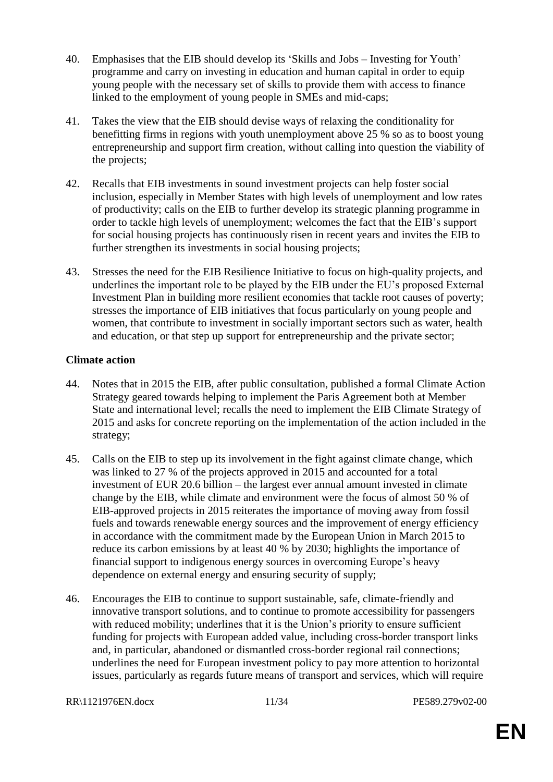- 40. Emphasises that the EIB should develop its 'Skills and Jobs Investing for Youth' programme and carry on investing in education and human capital in order to equip young people with the necessary set of skills to provide them with access to finance linked to the employment of young people in SMEs and mid-caps;
- 41. Takes the view that the EIB should devise ways of relaxing the conditionality for benefitting firms in regions with youth unemployment above 25 % so as to boost young entrepreneurship and support firm creation, without calling into question the viability of the projects;
- 42. Recalls that EIB investments in sound investment projects can help foster social inclusion, especially in Member States with high levels of unemployment and low rates of productivity; calls on the EIB to further develop its strategic planning programme in order to tackle high levels of unemployment; welcomes the fact that the EIB's support for social housing projects has continuously risen in recent years and invites the EIB to further strengthen its investments in social housing projects;
- 43. Stresses the need for the EIB Resilience Initiative to focus on high-quality projects, and underlines the important role to be played by the EIB under the EU's proposed External Investment Plan in building more resilient economies that tackle root causes of poverty; stresses the importance of EIB initiatives that focus particularly on young people and women, that contribute to investment in socially important sectors such as water, health and education, or that step up support for entrepreneurship and the private sector;

#### **Climate action**

- 44. Notes that in 2015 the EIB, after public consultation, published a formal Climate Action Strategy geared towards helping to implement the Paris Agreement both at Member State and international level; recalls the need to implement the EIB Climate Strategy of 2015 and asks for concrete reporting on the implementation of the action included in the strategy;
- 45. Calls on the EIB to step up its involvement in the fight against climate change, which was linked to 27 % of the projects approved in 2015 and accounted for a total investment of EUR 20.6 billion – the largest ever annual amount invested in climate change by the EIB, while climate and environment were the focus of almost 50 % of EIB-approved projects in 2015 reiterates the importance of moving away from fossil fuels and towards renewable energy sources and the improvement of energy efficiency in accordance with the commitment made by the European Union in March 2015 to reduce its carbon emissions by at least 40 % by 2030; highlights the importance of financial support to indigenous energy sources in overcoming Europe's heavy dependence on external energy and ensuring security of supply;
- 46. Encourages the EIB to continue to support sustainable, safe, climate-friendly and innovative transport solutions, and to continue to promote accessibility for passengers with reduced mobility; underlines that it is the Union's priority to ensure sufficient funding for projects with European added value, including cross-border transport links and, in particular, abandoned or dismantled cross-border regional rail connections; underlines the need for European investment policy to pay more attention to horizontal issues, particularly as regards future means of transport and services, which will require

RR\1121976EN.docx 11/34 PE589.279v02-00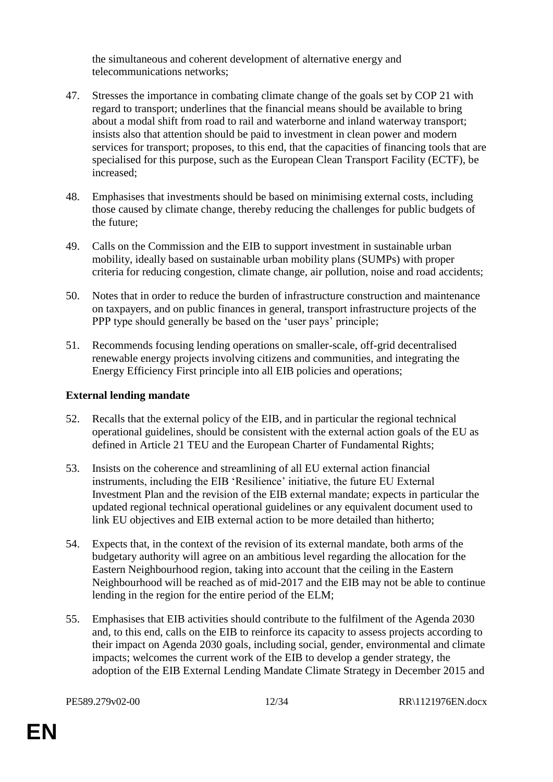the simultaneous and coherent development of alternative energy and telecommunications networks;

- 47. Stresses the importance in combating climate change of the goals set by COP 21 with regard to transport; underlines that the financial means should be available to bring about a modal shift from road to rail and waterborne and inland waterway transport; insists also that attention should be paid to investment in clean power and modern services for transport; proposes, to this end, that the capacities of financing tools that are specialised for this purpose, such as the European Clean Transport Facility (ECTF), be increased;
- 48. Emphasises that investments should be based on minimising external costs, including those caused by climate change, thereby reducing the challenges for public budgets of the future;
- 49. Calls on the Commission and the EIB to support investment in sustainable urban mobility, ideally based on sustainable urban mobility plans (SUMPs) with proper criteria for reducing congestion, climate change, air pollution, noise and road accidents;
- 50. Notes that in order to reduce the burden of infrastructure construction and maintenance on taxpayers, and on public finances in general, transport infrastructure projects of the PPP type should generally be based on the 'user pays' principle;
- 51. Recommends focusing lending operations on smaller-scale, off-grid decentralised renewable energy projects involving citizens and communities, and integrating the Energy Efficiency First principle into all EIB policies and operations;

#### **External lending mandate**

- 52. Recalls that the external policy of the EIB, and in particular the regional technical operational guidelines, should be consistent with the external action goals of the EU as defined in Article 21 TEU and the European Charter of Fundamental Rights;
- 53. Insists on the coherence and streamlining of all EU external action financial instruments, including the EIB 'Resilience' initiative, the future EU External Investment Plan and the revision of the EIB external mandate; expects in particular the updated regional technical operational guidelines or any equivalent document used to link EU objectives and EIB external action to be more detailed than hitherto;
- 54. Expects that, in the context of the revision of its external mandate, both arms of the budgetary authority will agree on an ambitious level regarding the allocation for the Eastern Neighbourhood region, taking into account that the ceiling in the Eastern Neighbourhood will be reached as of mid-2017 and the EIB may not be able to continue lending in the region for the entire period of the ELM;
- 55. Emphasises that EIB activities should contribute to the fulfilment of the Agenda 2030 and, to this end, calls on the EIB to reinforce its capacity to assess projects according to their impact on Agenda 2030 goals, including social, gender, environmental and climate impacts; welcomes the current work of the EIB to develop a gender strategy, the adoption of the EIB External Lending Mandate Climate Strategy in December 2015 and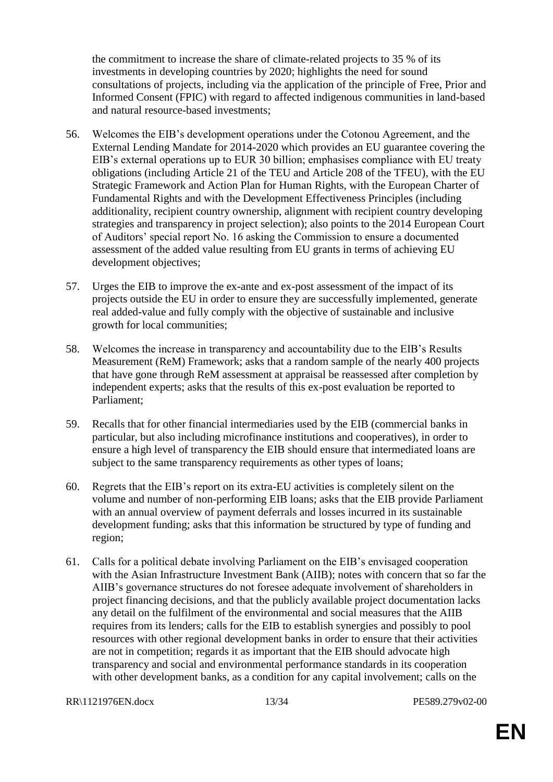the commitment to increase the share of climate-related projects to 35 % of its investments in developing countries by 2020; highlights the need for sound consultations of projects, including via the application of the principle of Free, Prior and Informed Consent (FPIC) with regard to affected indigenous communities in land-based and natural resource-based investments;

- 56. Welcomes the EIB's development operations under the Cotonou Agreement, and the External Lending Mandate for 2014-2020 which provides an EU guarantee covering the EIB's external operations up to EUR 30 billion; emphasises compliance with EU treaty obligations (including Article 21 of the TEU and Article 208 of the TFEU), with the EU Strategic Framework and Action Plan for Human Rights, with the European Charter of Fundamental Rights and with the Development Effectiveness Principles (including additionality, recipient country ownership, alignment with recipient country developing strategies and transparency in project selection); also points to the 2014 European Court of Auditors' special report No. 16 asking the Commission to ensure a documented assessment of the added value resulting from EU grants in terms of achieving EU development objectives;
- 57. Urges the EIB to improve the ex-ante and ex-post assessment of the impact of its projects outside the EU in order to ensure they are successfully implemented, generate real added-value and fully comply with the objective of sustainable and inclusive growth for local communities;
- 58. Welcomes the increase in transparency and accountability due to the EIB's Results Measurement (ReM) Framework; asks that a random sample of the nearly 400 projects that have gone through ReM assessment at appraisal be reassessed after completion by independent experts; asks that the results of this ex-post evaluation be reported to Parliament;
- 59. Recalls that for other financial intermediaries used by the EIB (commercial banks in particular, but also including microfinance institutions and cooperatives), in order to ensure a high level of transparency the EIB should ensure that intermediated loans are subject to the same transparency requirements as other types of loans;
- 60. Regrets that the EIB's report on its extra-EU activities is completely silent on the volume and number of non-performing EIB loans; asks that the EIB provide Parliament with an annual overview of payment deferrals and losses incurred in its sustainable development funding; asks that this information be structured by type of funding and region;
- 61. Calls for a political debate involving Parliament on the EIB's envisaged cooperation with the Asian Infrastructure Investment Bank (AIIB); notes with concern that so far the AIIB's governance structures do not foresee adequate involvement of shareholders in project financing decisions, and that the publicly available project documentation lacks any detail on the fulfilment of the environmental and social measures that the AIIB requires from its lenders; calls for the EIB to establish synergies and possibly to pool resources with other regional development banks in order to ensure that their activities are not in competition; regards it as important that the EIB should advocate high transparency and social and environmental performance standards in its cooperation with other development banks, as a condition for any capital involvement; calls on the

RR\1121976EN.docx 13/34 PE589.279v02-00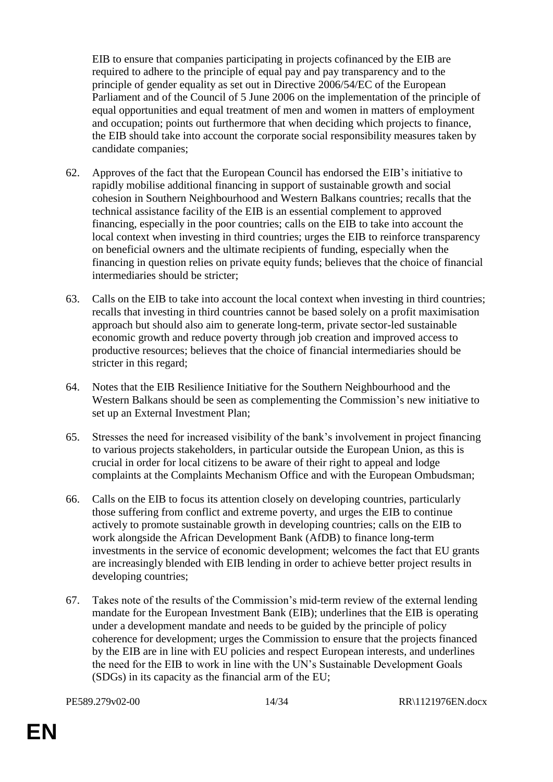EIB to ensure that companies participating in projects cofinanced by the EIB are required to adhere to the principle of equal pay and pay transparency and to the principle of gender equality as set out in Directive 2006/54/EC of the European Parliament and of the Council of 5 June 2006 on the implementation of the principle of equal opportunities and equal treatment of men and women in matters of employment and occupation; points out furthermore that when deciding which projects to finance, the EIB should take into account the corporate social responsibility measures taken by candidate companies;

- 62. Approves of the fact that the European Council has endorsed the EIB's initiative to rapidly mobilise additional financing in support of sustainable growth and social cohesion in Southern Neighbourhood and Western Balkans countries; recalls that the technical assistance facility of the EIB is an essential complement to approved financing, especially in the poor countries; calls on the EIB to take into account the local context when investing in third countries; urges the EIB to reinforce transparency on beneficial owners and the ultimate recipients of funding, especially when the financing in question relies on private equity funds; believes that the choice of financial intermediaries should be stricter;
- 63. Calls on the EIB to take into account the local context when investing in third countries; recalls that investing in third countries cannot be based solely on a profit maximisation approach but should also aim to generate long-term, private sector-led sustainable economic growth and reduce poverty through job creation and improved access to productive resources; believes that the choice of financial intermediaries should be stricter in this regard;
- 64. Notes that the EIB Resilience Initiative for the Southern Neighbourhood and the Western Balkans should be seen as complementing the Commission's new initiative to set up an External Investment Plan;
- 65. Stresses the need for increased visibility of the bank's involvement in project financing to various projects stakeholders, in particular outside the European Union, as this is crucial in order for local citizens to be aware of their right to appeal and lodge complaints at the Complaints Mechanism Office and with the European Ombudsman;
- 66. Calls on the EIB to focus its attention closely on developing countries, particularly those suffering from conflict and extreme poverty, and urges the EIB to continue actively to promote sustainable growth in developing countries; calls on the EIB to work alongside the African Development Bank (AfDB) to finance long-term investments in the service of economic development; welcomes the fact that EU grants are increasingly blended with EIB lending in order to achieve better project results in developing countries;
- 67. Takes note of the results of the Commission's mid-term review of the external lending mandate for the European Investment Bank (EIB); underlines that the EIB is operating under a development mandate and needs to be guided by the principle of policy coherence for development; urges the Commission to ensure that the projects financed by the EIB are in line with EU policies and respect European interests, and underlines the need for the EIB to work in line with the UN's Sustainable Development Goals (SDGs) in its capacity as the financial arm of the EU;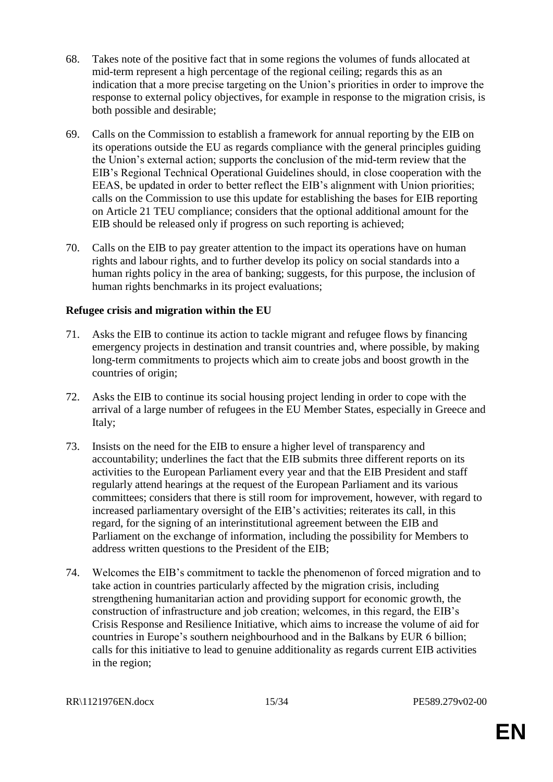- 68. Takes note of the positive fact that in some regions the volumes of funds allocated at mid-term represent a high percentage of the regional ceiling; regards this as an indication that a more precise targeting on the Union's priorities in order to improve the response to external policy objectives, for example in response to the migration crisis, is both possible and desirable;
- 69. Calls on the Commission to establish a framework for annual reporting by the EIB on its operations outside the EU as regards compliance with the general principles guiding the Union's external action; supports the conclusion of the mid-term review that the EIB's Regional Technical Operational Guidelines should, in close cooperation with the EEAS, be updated in order to better reflect the EIB's alignment with Union priorities; calls on the Commission to use this update for establishing the bases for EIB reporting on Article 21 TEU compliance; considers that the optional additional amount for the EIB should be released only if progress on such reporting is achieved;
- 70. Calls on the EIB to pay greater attention to the impact its operations have on human rights and labour rights, and to further develop its policy on social standards into a human rights policy in the area of banking; suggests, for this purpose, the inclusion of human rights benchmarks in its project evaluations;

#### **Refugee crisis and migration within the EU**

- 71. Asks the EIB to continue its action to tackle migrant and refugee flows by financing emergency projects in destination and transit countries and, where possible, by making long-term commitments to projects which aim to create jobs and boost growth in the countries of origin;
- 72. Asks the EIB to continue its social housing project lending in order to cope with the arrival of a large number of refugees in the EU Member States, especially in Greece and Italy;
- 73. Insists on the need for the EIB to ensure a higher level of transparency and accountability; underlines the fact that the EIB submits three different reports on its activities to the European Parliament every year and that the EIB President and staff regularly attend hearings at the request of the European Parliament and its various committees; considers that there is still room for improvement, however, with regard to increased parliamentary oversight of the EIB's activities; reiterates its call, in this regard, for the signing of an interinstitutional agreement between the EIB and Parliament on the exchange of information, including the possibility for Members to address written questions to the President of the EIB;
- 74. Welcomes the EIB's commitment to tackle the phenomenon of forced migration and to take action in countries particularly affected by the migration crisis, including strengthening humanitarian action and providing support for economic growth, the construction of infrastructure and job creation; welcomes, in this regard, the EIB's Crisis Response and Resilience Initiative, which aims to increase the volume of aid for countries in Europe's southern neighbourhood and in the Balkans by EUR 6 billion; calls for this initiative to lead to genuine additionality as regards current EIB activities in the region;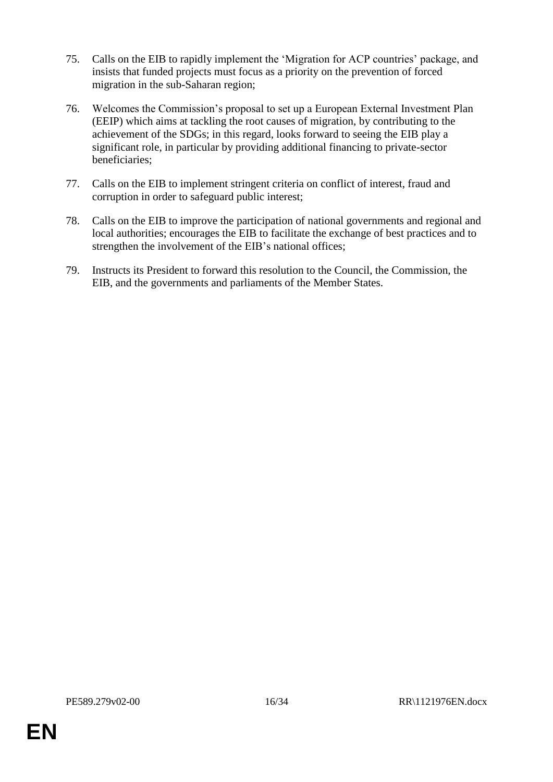- 75. Calls on the EIB to rapidly implement the 'Migration for ACP countries' package, and insists that funded projects must focus as a priority on the prevention of forced migration in the sub-Saharan region;
- 76. Welcomes the Commission's proposal to set up a European External Investment Plan (EEIP) which aims at tackling the root causes of migration, by contributing to the achievement of the SDGs; in this regard, looks forward to seeing the EIB play a significant role, in particular by providing additional financing to private-sector beneficiaries;
- 77. Calls on the EIB to implement stringent criteria on conflict of interest, fraud and corruption in order to safeguard public interest;
- 78. Calls on the EIB to improve the participation of national governments and regional and local authorities; encourages the EIB to facilitate the exchange of best practices and to strengthen the involvement of the EIB's national offices;
- 79. Instructs its President to forward this resolution to the Council, the Commission, the EIB, and the governments and parliaments of the Member States.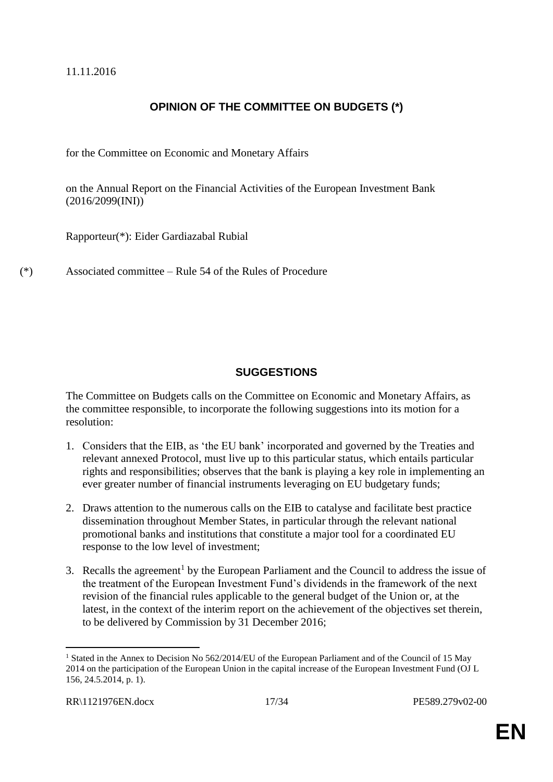11.11.2016

## **OPINION OF THE COMMITTEE ON BUDGETS (\*)**

for the Committee on Economic and Monetary Affairs

on the Annual Report on the Financial Activities of the European Investment Bank (2016/2099(INI))

Rapporteur(\*): Eider Gardiazabal Rubial

(\*) Associated committee – Rule 54 of the Rules of Procedure

### **SUGGESTIONS**

The Committee on Budgets calls on the Committee on Economic and Monetary Affairs, as the committee responsible, to incorporate the following suggestions into its motion for a resolution:

- 1. Considers that the EIB, as 'the EU bank' incorporated and governed by the Treaties and relevant annexed Protocol, must live up to this particular status, which entails particular rights and responsibilities; observes that the bank is playing a key role in implementing an ever greater number of financial instruments leveraging on EU budgetary funds;
- 2. Draws attention to the numerous calls on the EIB to catalyse and facilitate best practice dissemination throughout Member States, in particular through the relevant national promotional banks and institutions that constitute a major tool for a coordinated EU response to the low level of investment;
- 3. Recalls the agreement<sup>1</sup> by the European Parliament and the Council to address the issue of the treatment of the European Investment Fund's dividends in the framework of the next revision of the financial rules applicable to the general budget of the Union or, at the latest, in the context of the interim report on the achievement of the objectives set therein, to be delivered by Commission by 31 December 2016;

 $\overline{a}$ 

<sup>&</sup>lt;sup>1</sup> Stated in the Annex to Decision No 562/2014/EU of the European Parliament and of the Council of 15 May 2014 on the participation of the European Union in the capital increase of the European Investment Fund (OJ L 156, 24.5.2014, p. 1).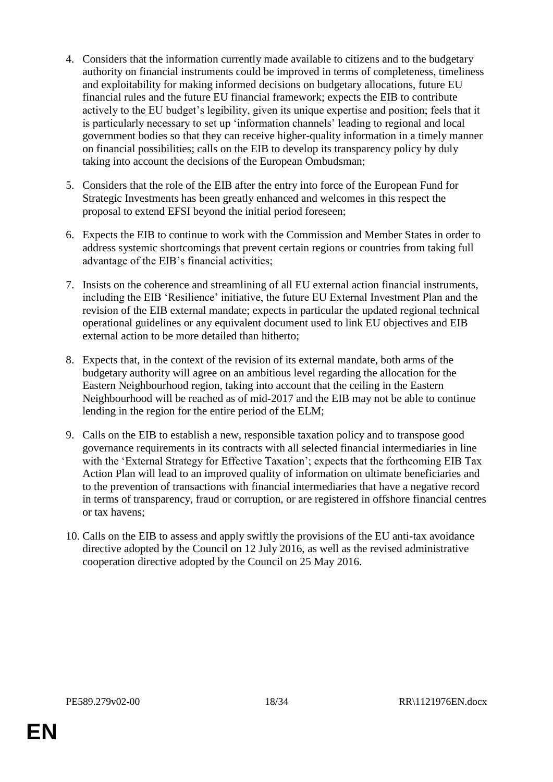- 4. Considers that the information currently made available to citizens and to the budgetary authority on financial instruments could be improved in terms of completeness, timeliness and exploitability for making informed decisions on budgetary allocations, future EU financial rules and the future EU financial framework; expects the EIB to contribute actively to the EU budget's legibility, given its unique expertise and position; feels that it is particularly necessary to set up 'information channels' leading to regional and local government bodies so that they can receive higher-quality information in a timely manner on financial possibilities; calls on the EIB to develop its transparency policy by duly taking into account the decisions of the European Ombudsman;
- 5. Considers that the role of the EIB after the entry into force of the European Fund for Strategic Investments has been greatly enhanced and welcomes in this respect the proposal to extend EFSI beyond the initial period foreseen;
- 6. Expects the EIB to continue to work with the Commission and Member States in order to address systemic shortcomings that prevent certain regions or countries from taking full advantage of the EIB's financial activities;
- 7. Insists on the coherence and streamlining of all EU external action financial instruments, including the EIB 'Resilience' initiative, the future EU External Investment Plan and the revision of the EIB external mandate; expects in particular the updated regional technical operational guidelines or any equivalent document used to link EU objectives and EIB external action to be more detailed than hitherto;
- 8. Expects that, in the context of the revision of its external mandate, both arms of the budgetary authority will agree on an ambitious level regarding the allocation for the Eastern Neighbourhood region, taking into account that the ceiling in the Eastern Neighbourhood will be reached as of mid-2017 and the EIB may not be able to continue lending in the region for the entire period of the ELM;
- 9. Calls on the EIB to establish a new, responsible taxation policy and to transpose good governance requirements in its contracts with all selected financial intermediaries in line with the 'External Strategy for Effective Taxation'; expects that the forthcoming EIB Tax Action Plan will lead to an improved quality of information on ultimate beneficiaries and to the prevention of transactions with financial intermediaries that have a negative record in terms of transparency, fraud or corruption, or are registered in offshore financial centres or tax havens;
- 10. Calls on the EIB to assess and apply swiftly the provisions of the EU anti-tax avoidance directive adopted by the Council on 12 July 2016, as well as the revised administrative cooperation directive adopted by the Council on 25 May 2016.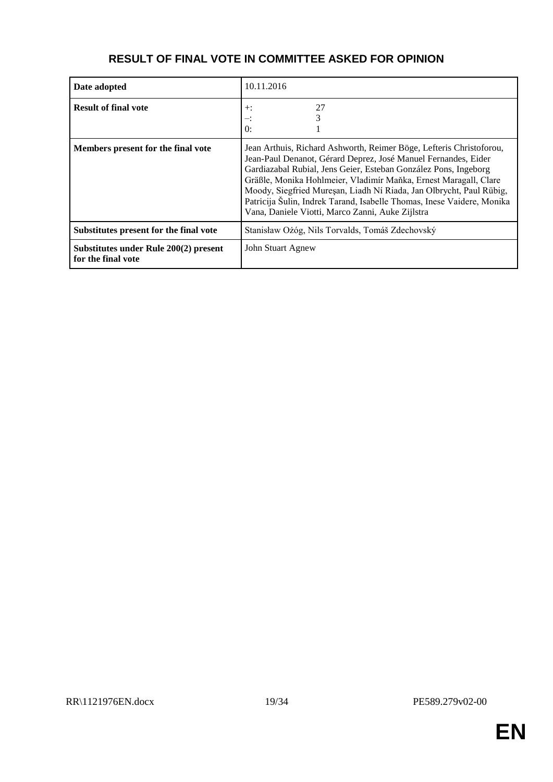| Date adopted                                                | 10.11.2016                                                                                                                                                                                                                                                                                                                                                                                                                                                                        |
|-------------------------------------------------------------|-----------------------------------------------------------------------------------------------------------------------------------------------------------------------------------------------------------------------------------------------------------------------------------------------------------------------------------------------------------------------------------------------------------------------------------------------------------------------------------|
| <b>Result of final vote</b>                                 | 27<br>$+$ :<br>∹.<br>$\theta$ :                                                                                                                                                                                                                                                                                                                                                                                                                                                   |
| Members present for the final vote                          | Jean Arthuis, Richard Ashworth, Reimer Böge, Lefteris Christoforou,<br>Jean-Paul Denanot, Gérard Deprez, José Manuel Fernandes, Eider<br>Gardiazabal Rubial, Jens Geier, Esteban González Pons, Ingeborg<br>Gräßle, Monika Hohlmeier, Vladimír Maňka, Ernest Maragall, Clare<br>Moody, Siegfried Mureșan, Liadh Ní Riada, Jan Olbrycht, Paul Rübig,<br>Patricija Šulin, Indrek Tarand, Isabelle Thomas, Inese Vaidere, Monika<br>Vana, Daniele Viotti, Marco Zanni, Auke Zijlstra |
| Substitutes present for the final vote                      | Stanisław Ożóg, Nils Torvalds, Tomáš Zdechovský                                                                                                                                                                                                                                                                                                                                                                                                                                   |
| Substitutes under Rule 200(2) present<br>for the final vote | John Stuart Agnew                                                                                                                                                                                                                                                                                                                                                                                                                                                                 |

## **RESULT OF FINAL VOTE IN COMMITTEE ASKED FOR OPINION**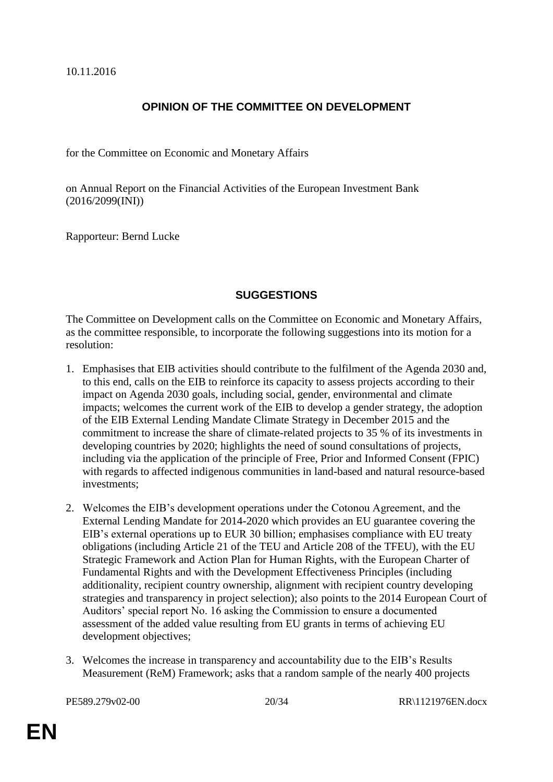#### **OPINION OF THE COMMITTEE ON DEVELOPMENT**

for the Committee on Economic and Monetary Affairs

on Annual Report on the Financial Activities of the European Investment Bank (2016/2099(INI))

Rapporteur: Bernd Lucke

#### **SUGGESTIONS**

The Committee on Development calls on the Committee on Economic and Monetary Affairs, as the committee responsible, to incorporate the following suggestions into its motion for a resolution:

- 1. Emphasises that EIB activities should contribute to the fulfilment of the Agenda 2030 and, to this end, calls on the EIB to reinforce its capacity to assess projects according to their impact on Agenda 2030 goals, including social, gender, environmental and climate impacts; welcomes the current work of the EIB to develop a gender strategy, the adoption of the EIB External Lending Mandate Climate Strategy in December 2015 and the commitment to increase the share of climate-related projects to 35 % of its investments in developing countries by 2020; highlights the need of sound consultations of projects, including via the application of the principle of Free, Prior and Informed Consent (FPIC) with regards to affected indigenous communities in land-based and natural resource-based investments;
- 2. Welcomes the EIB's development operations under the Cotonou Agreement, and the External Lending Mandate for 2014-2020 which provides an EU guarantee covering the EIB's external operations up to EUR 30 billion; emphasises compliance with EU treaty obligations (including Article 21 of the TEU and Article 208 of the TFEU), with the EU Strategic Framework and Action Plan for Human Rights, with the European Charter of Fundamental Rights and with the Development Effectiveness Principles (including additionality, recipient country ownership, alignment with recipient country developing strategies and transparency in project selection); also points to the 2014 European Court of Auditors' special report No. 16 asking the Commission to ensure a documented assessment of the added value resulting from EU grants in terms of achieving EU development objectives;
- 3. Welcomes the increase in transparency and accountability due to the EIB's Results Measurement (ReM) Framework; asks that a random sample of the nearly 400 projects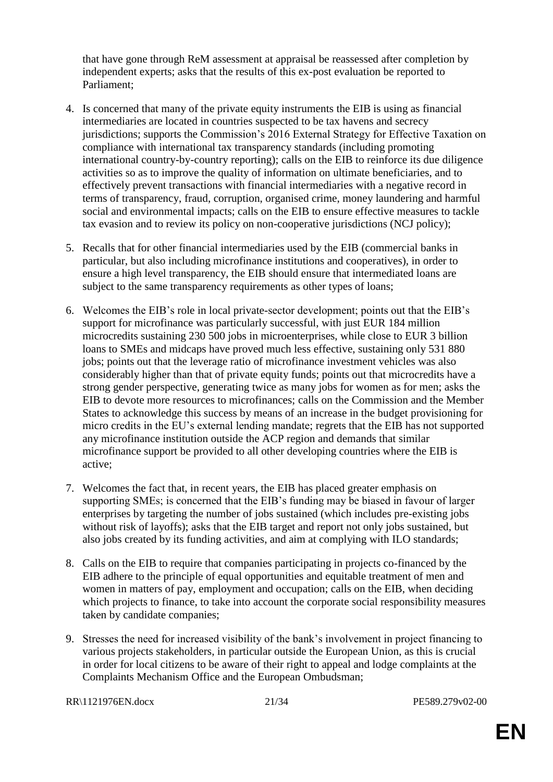that have gone through ReM assessment at appraisal be reassessed after completion by independent experts; asks that the results of this ex-post evaluation be reported to Parliament;

- 4. Is concerned that many of the private equity instruments the EIB is using as financial intermediaries are located in countries suspected to be tax havens and secrecy jurisdictions; supports the Commission's 2016 External Strategy for Effective Taxation on compliance with international tax transparency standards (including promoting international country-by-country reporting); calls on the EIB to reinforce its due diligence activities so as to improve the quality of information on ultimate beneficiaries, and to effectively prevent transactions with financial intermediaries with a negative record in terms of transparency, fraud, corruption, organised crime, money laundering and harmful social and environmental impacts; calls on the EIB to ensure effective measures to tackle tax evasion and to review its policy on non-cooperative jurisdictions (NCJ policy);
- 5. Recalls that for other financial intermediaries used by the EIB (commercial banks in particular, but also including microfinance institutions and cooperatives), in order to ensure a high level transparency, the EIB should ensure that intermediated loans are subject to the same transparency requirements as other types of loans;
- 6. Welcomes the EIB's role in local private-sector development; points out that the EIB's support for microfinance was particularly successful, with just EUR 184 million microcredits sustaining 230 500 jobs in microenterprises, while close to EUR 3 billion loans to SMEs and midcaps have proved much less effective, sustaining only 531 880 jobs; points out that the leverage ratio of microfinance investment vehicles was also considerably higher than that of private equity funds; points out that microcredits have a strong gender perspective, generating twice as many jobs for women as for men; asks the EIB to devote more resources to microfinances; calls on the Commission and the Member States to acknowledge this success by means of an increase in the budget provisioning for micro credits in the EU's external lending mandate; regrets that the EIB has not supported any microfinance institution outside the ACP region and demands that similar microfinance support be provided to all other developing countries where the EIB is active;
- 7. Welcomes the fact that, in recent years, the EIB has placed greater emphasis on supporting SMEs; is concerned that the EIB's funding may be biased in favour of larger enterprises by targeting the number of jobs sustained (which includes pre-existing jobs without risk of layoffs); asks that the EIB target and report not only jobs sustained, but also jobs created by its funding activities, and aim at complying with ILO standards;
- 8. Calls on the EIB to require that companies participating in projects co-financed by the EIB adhere to the principle of equal opportunities and equitable treatment of men and women in matters of pay, employment and occupation; calls on the EIB, when deciding which projects to finance, to take into account the corporate social responsibility measures taken by candidate companies;
- 9. Stresses the need for increased visibility of the bank's involvement in project financing to various projects stakeholders, in particular outside the European Union, as this is crucial in order for local citizens to be aware of their right to appeal and lodge complaints at the Complaints Mechanism Office and the European Ombudsman;

RR\1121976EN.docx 21/34 PE589.279v02-00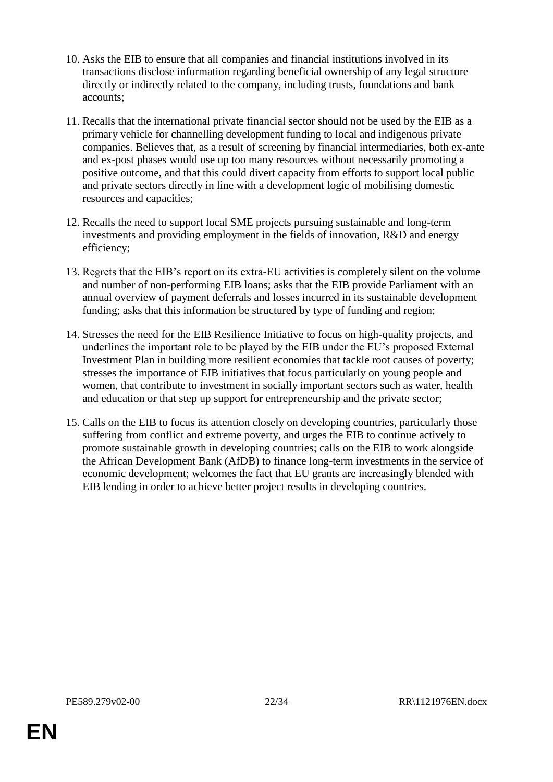- 10. Asks the EIB to ensure that all companies and financial institutions involved in its transactions disclose information regarding beneficial ownership of any legal structure directly or indirectly related to the company, including trusts, foundations and bank accounts;
- 11. Recalls that the international private financial sector should not be used by the EIB as a primary vehicle for channelling development funding to local and indigenous private companies. Believes that, as a result of screening by financial intermediaries, both ex-ante and ex-post phases would use up too many resources without necessarily promoting a positive outcome, and that this could divert capacity from efforts to support local public and private sectors directly in line with a development logic of mobilising domestic resources and capacities;
- 12. Recalls the need to support local SME projects pursuing sustainable and long-term investments and providing employment in the fields of innovation, R&D and energy efficiency;
- 13. Regrets that the EIB's report on its extra-EU activities is completely silent on the volume and number of non-performing EIB loans; asks that the EIB provide Parliament with an annual overview of payment deferrals and losses incurred in its sustainable development funding; asks that this information be structured by type of funding and region;
- 14. Stresses the need for the EIB Resilience Initiative to focus on high-quality projects, and underlines the important role to be played by the EIB under the EU's proposed External Investment Plan in building more resilient economies that tackle root causes of poverty; stresses the importance of EIB initiatives that focus particularly on young people and women, that contribute to investment in socially important sectors such as water, health and education or that step up support for entrepreneurship and the private sector;
- 15. Calls on the EIB to focus its attention closely on developing countries, particularly those suffering from conflict and extreme poverty, and urges the EIB to continue actively to promote sustainable growth in developing countries; calls on the EIB to work alongside the African Development Bank (AfDB) to finance long-term investments in the service of economic development; welcomes the fact that EU grants are increasingly blended with EIB lending in order to achieve better project results in developing countries.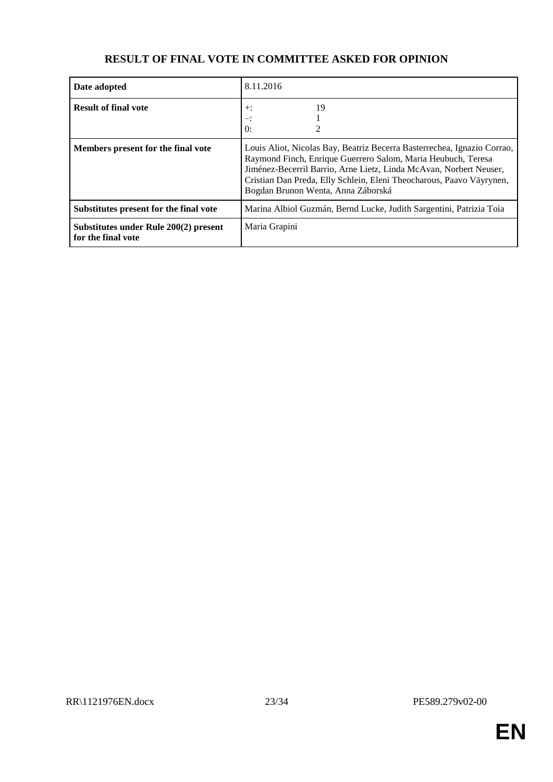| Date adopted                                                | 8.11.2016                                                                                                                                                                                                                                                                                                                   |
|-------------------------------------------------------------|-----------------------------------------------------------------------------------------------------------------------------------------------------------------------------------------------------------------------------------------------------------------------------------------------------------------------------|
| <b>Result of final vote</b>                                 | 19<br>$+$ :<br>$\theta$ :                                                                                                                                                                                                                                                                                                   |
| Members present for the final vote                          | Louis Aliot, Nicolas Bay, Beatriz Becerra Basterrechea, Ignazio Corrao,<br>Raymond Finch, Enrique Guerrero Salom, Maria Heubuch, Teresa<br>Jiménez-Becerril Barrio, Arne Lietz, Linda McAvan, Norbert Neuser,<br>Cristian Dan Preda, Elly Schlein, Eleni Theocharous, Paavo Väyrynen,<br>Bogdan Brunon Wenta, Anna Záborská |
| Substitutes present for the final vote                      | Marina Albiol Guzmán, Bernd Lucke, Judith Sargentini, Patrizia Toia                                                                                                                                                                                                                                                         |
| Substitutes under Rule 200(2) present<br>for the final vote | Maria Grapini                                                                                                                                                                                                                                                                                                               |

## **RESULT OF FINAL VOTE IN COMMITTEE ASKED FOR OPINION**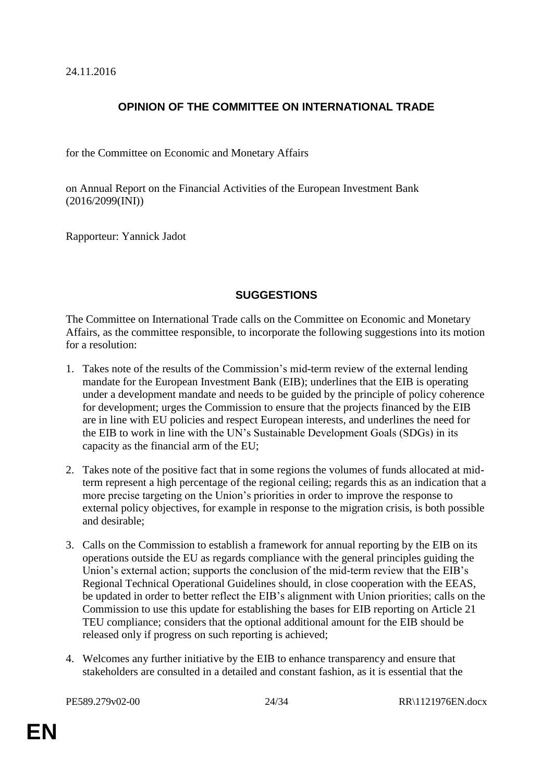24.11.2016

## **OPINION OF THE COMMITTEE ON INTERNATIONAL TRADE**

for the Committee on Economic and Monetary Affairs

on Annual Report on the Financial Activities of the European Investment Bank (2016/2099(INI))

Rapporteur: Yannick Jadot

### **SUGGESTIONS**

The Committee on International Trade calls on the Committee on Economic and Monetary Affairs, as the committee responsible, to incorporate the following suggestions into its motion for a resolution:

- 1. Takes note of the results of the Commission's mid-term review of the external lending mandate for the European Investment Bank (EIB); underlines that the EIB is operating under a development mandate and needs to be guided by the principle of policy coherence for development; urges the Commission to ensure that the projects financed by the EIB are in line with EU policies and respect European interests, and underlines the need for the EIB to work in line with the UN's Sustainable Development Goals (SDGs) in its capacity as the financial arm of the EU;
- 2. Takes note of the positive fact that in some regions the volumes of funds allocated at midterm represent a high percentage of the regional ceiling; regards this as an indication that a more precise targeting on the Union's priorities in order to improve the response to external policy objectives, for example in response to the migration crisis, is both possible and desirable;
- 3. Calls on the Commission to establish a framework for annual reporting by the EIB on its operations outside the EU as regards compliance with the general principles guiding the Union's external action; supports the conclusion of the mid-term review that the EIB's Regional Technical Operational Guidelines should, in close cooperation with the EEAS, be updated in order to better reflect the EIB's alignment with Union priorities; calls on the Commission to use this update for establishing the bases for EIB reporting on Article 21 TEU compliance; considers that the optional additional amount for the EIB should be released only if progress on such reporting is achieved;
- 4. Welcomes any further initiative by the EIB to enhance transparency and ensure that stakeholders are consulted in a detailed and constant fashion, as it is essential that the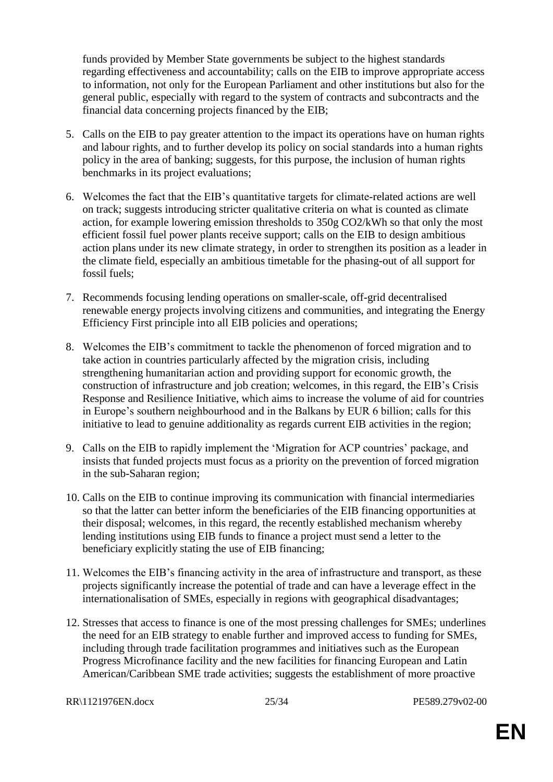funds provided by Member State governments be subject to the highest standards regarding effectiveness and accountability; calls on the EIB to improve appropriate access to information, not only for the European Parliament and other institutions but also for the general public, especially with regard to the system of contracts and subcontracts and the financial data concerning projects financed by the EIB;

- 5. Calls on the EIB to pay greater attention to the impact its operations have on human rights and labour rights, and to further develop its policy on social standards into a human rights policy in the area of banking; suggests, for this purpose, the inclusion of human rights benchmarks in its project evaluations;
- 6. Welcomes the fact that the EIB's quantitative targets for climate-related actions are well on track; suggests introducing stricter qualitative criteria on what is counted as climate action, for example lowering emission thresholds to 350g CO2/kWh so that only the most efficient fossil fuel power plants receive support; calls on the EIB to design ambitious action plans under its new climate strategy, in order to strengthen its position as a leader in the climate field, especially an ambitious timetable for the phasing-out of all support for fossil fuels;
- 7. Recommends focusing lending operations on smaller-scale, off-grid decentralised renewable energy projects involving citizens and communities, and integrating the Energy Efficiency First principle into all EIB policies and operations;
- 8. Welcomes the EIB's commitment to tackle the phenomenon of forced migration and to take action in countries particularly affected by the migration crisis, including strengthening humanitarian action and providing support for economic growth, the construction of infrastructure and job creation; welcomes, in this regard, the EIB's Crisis Response and Resilience Initiative, which aims to increase the volume of aid for countries in Europe's southern neighbourhood and in the Balkans by EUR 6 billion; calls for this initiative to lead to genuine additionality as regards current EIB activities in the region;
- 9. Calls on the EIB to rapidly implement the 'Migration for ACP countries' package, and insists that funded projects must focus as a priority on the prevention of forced migration in the sub-Saharan region;
- 10. Calls on the EIB to continue improving its communication with financial intermediaries so that the latter can better inform the beneficiaries of the EIB financing opportunities at their disposal; welcomes, in this regard, the recently established mechanism whereby lending institutions using EIB funds to finance a project must send a letter to the beneficiary explicitly stating the use of EIB financing;
- 11. Welcomes the EIB's financing activity in the area of infrastructure and transport, as these projects significantly increase the potential of trade and can have a leverage effect in the internationalisation of SMEs, especially in regions with geographical disadvantages;
- 12. Stresses that access to finance is one of the most pressing challenges for SMEs; underlines the need for an EIB strategy to enable further and improved access to funding for SMEs, including through trade facilitation programmes and initiatives such as the European Progress Microfinance facility and the new facilities for financing European and Latin American/Caribbean SME trade activities; suggests the establishment of more proactive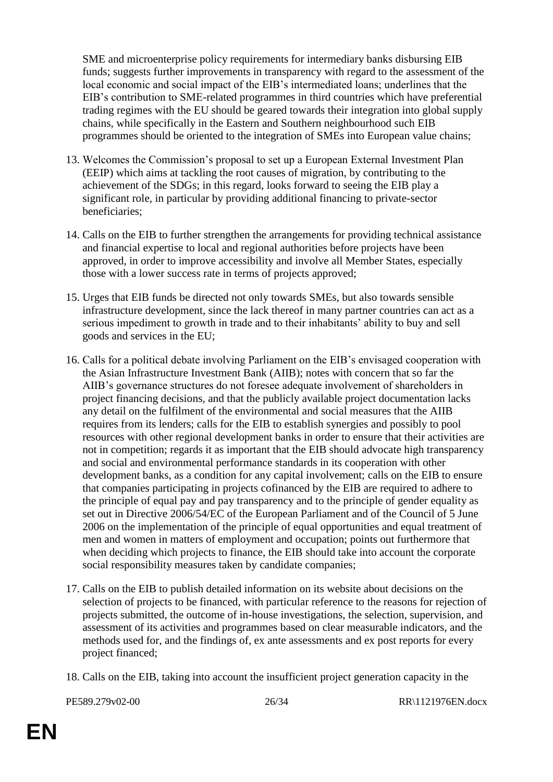SME and microenterprise policy requirements for intermediary banks disbursing EIB funds; suggests further improvements in transparency with regard to the assessment of the local economic and social impact of the EIB's intermediated loans; underlines that the EIB's contribution to SME-related programmes in third countries which have preferential trading regimes with the EU should be geared towards their integration into global supply chains, while specifically in the Eastern and Southern neighbourhood such EIB programmes should be oriented to the integration of SMEs into European value chains;

- 13. Welcomes the Commission's proposal to set up a European External Investment Plan (EEIP) which aims at tackling the root causes of migration, by contributing to the achievement of the SDGs; in this regard, looks forward to seeing the EIB play a significant role, in particular by providing additional financing to private-sector beneficiaries;
- 14. Calls on the EIB to further strengthen the arrangements for providing technical assistance and financial expertise to local and regional authorities before projects have been approved, in order to improve accessibility and involve all Member States, especially those with a lower success rate in terms of projects approved;
- 15. Urges that EIB funds be directed not only towards SMEs, but also towards sensible infrastructure development, since the lack thereof in many partner countries can act as a serious impediment to growth in trade and to their inhabitants' ability to buy and sell goods and services in the EU;
- 16. Calls for a political debate involving Parliament on the EIB's envisaged cooperation with the Asian Infrastructure Investment Bank (AIIB); notes with concern that so far the AIIB's governance structures do not foresee adequate involvement of shareholders in project financing decisions, and that the publicly available project documentation lacks any detail on the fulfilment of the environmental and social measures that the AIIB requires from its lenders; calls for the EIB to establish synergies and possibly to pool resources with other regional development banks in order to ensure that their activities are not in competition; regards it as important that the EIB should advocate high transparency and social and environmental performance standards in its cooperation with other development banks, as a condition for any capital involvement; calls on the EIB to ensure that companies participating in projects cofinanced by the EIB are required to adhere to the principle of equal pay and pay transparency and to the principle of gender equality as set out in Directive 2006/54/EC of the European Parliament and of the Council of 5 June 2006 on the implementation of the principle of equal opportunities and equal treatment of men and women in matters of employment and occupation; points out furthermore that when deciding which projects to finance, the EIB should take into account the corporate social responsibility measures taken by candidate companies;
- 17. Calls on the EIB to publish detailed information on its website about decisions on the selection of projects to be financed, with particular reference to the reasons for rejection of projects submitted, the outcome of in-house investigations, the selection, supervision, and assessment of its activities and programmes based on clear measurable indicators, and the methods used for, and the findings of, ex ante assessments and ex post reports for every project financed;
- 18. Calls on the EIB, taking into account the insufficient project generation capacity in the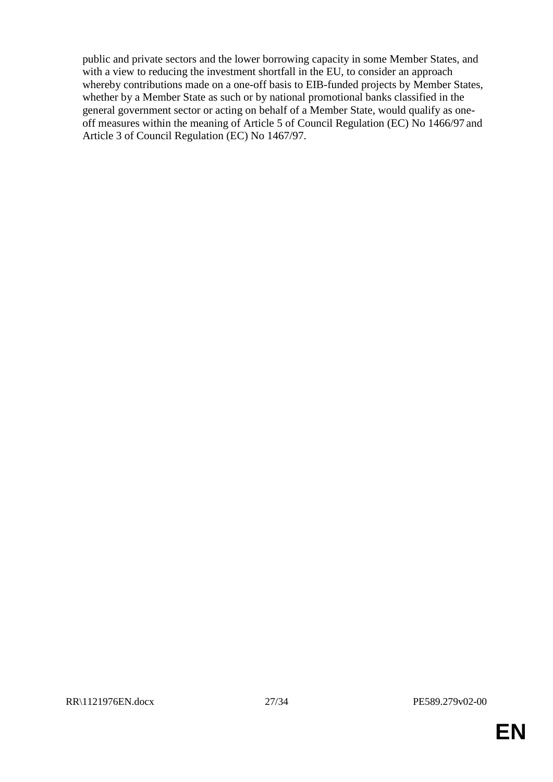public and private sectors and the lower borrowing capacity in some Member States, and with a view to reducing the investment shortfall in the EU, to consider an approach whereby contributions made on a one-off basis to EIB-funded projects by Member States, whether by a Member State as such or by national promotional banks classified in the general government sector or acting on behalf of a Member State, would qualify as oneoff measures within the meaning of Article 5 of Council Regulation (EC) No 1466/97 and Article 3 of Council Regulation (EC) No 1467/97.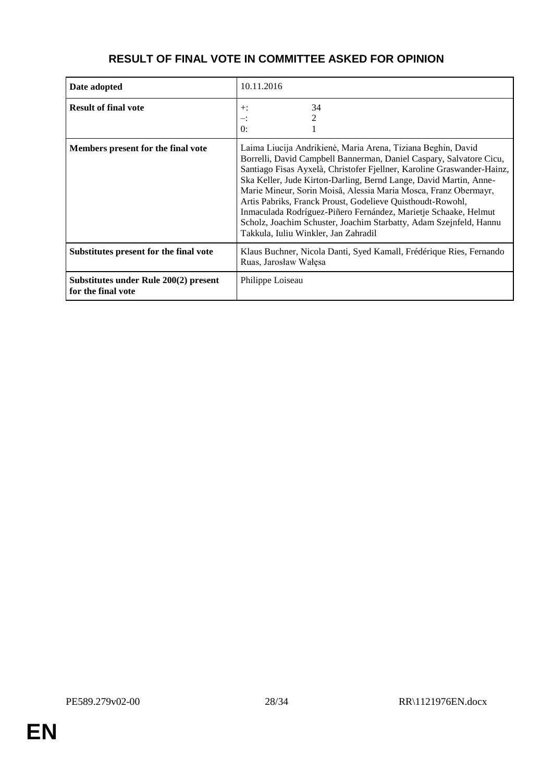| Date adopted                                                | 10.11.2016                                                                                                                                                                                                                                                                                                                                                                                                                                                                                                                                                                                           |
|-------------------------------------------------------------|------------------------------------------------------------------------------------------------------------------------------------------------------------------------------------------------------------------------------------------------------------------------------------------------------------------------------------------------------------------------------------------------------------------------------------------------------------------------------------------------------------------------------------------------------------------------------------------------------|
| <b>Result of final vote</b>                                 | 34<br>$+$ :<br>2<br>$-$ :<br>$\theta$ :                                                                                                                                                                                                                                                                                                                                                                                                                                                                                                                                                              |
| Members present for the final vote                          | Laima Liucija Andrikienė, Maria Arena, Tiziana Beghin, David<br>Borrelli, David Campbell Bannerman, Daniel Caspary, Salvatore Cicu,<br>Santiago Fisas Ayxelà, Christofer Fjellner, Karoline Graswander-Hainz,<br>Ska Keller, Jude Kirton-Darling, Bernd Lange, David Martin, Anne-<br>Marie Mineur, Sorin Moisă, Alessia Maria Mosca, Franz Obermayr,<br>Artis Pabriks, Franck Proust, Godelieve Quisthoudt-Rowohl,<br>Inmaculada Rodríguez-Piñero Fernández, Marietje Schaake, Helmut<br>Scholz, Joachim Schuster, Joachim Starbatty, Adam Szejnfeld, Hannu<br>Takkula, Iuliu Winkler, Jan Zahradil |
| Substitutes present for the final vote                      | Klaus Buchner, Nicola Danti, Syed Kamall, Frédérique Ries, Fernando<br>Ruas, Jarosław Wałęsa                                                                                                                                                                                                                                                                                                                                                                                                                                                                                                         |
| Substitutes under Rule 200(2) present<br>for the final vote | Philippe Loiseau                                                                                                                                                                                                                                                                                                                                                                                                                                                                                                                                                                                     |

## **RESULT OF FINAL VOTE IN COMMITTEE ASKED FOR OPINION**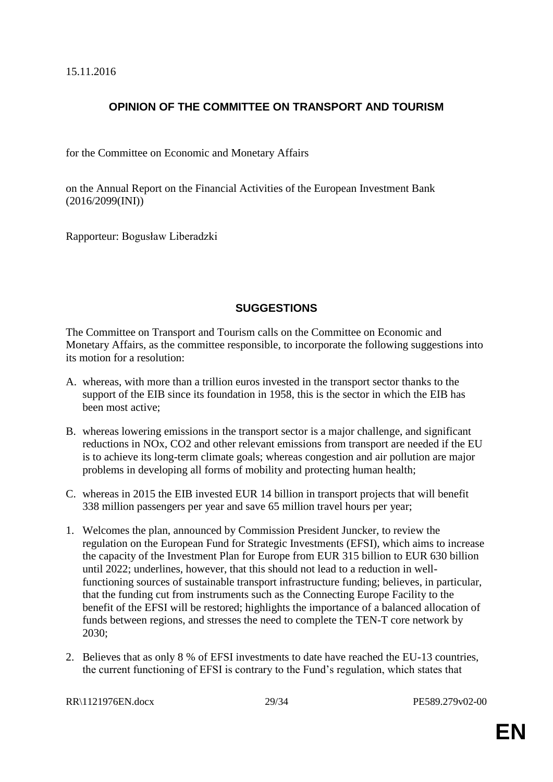15.11.2016

## **OPINION OF THE COMMITTEE ON TRANSPORT AND TOURISM**

for the Committee on Economic and Monetary Affairs

on the Annual Report on the Financial Activities of the European Investment Bank (2016/2099(INI))

Rapporteur: Bogusław Liberadzki

## **SUGGESTIONS**

The Committee on Transport and Tourism calls on the Committee on Economic and Monetary Affairs, as the committee responsible, to incorporate the following suggestions into its motion for a resolution:

- A. whereas, with more than a trillion euros invested in the transport sector thanks to the support of the EIB since its foundation in 1958, this is the sector in which the EIB has been most active;
- B. whereas lowering emissions in the transport sector is a major challenge, and significant reductions in NOx, CO2 and other relevant emissions from transport are needed if the EU is to achieve its long-term climate goals; whereas congestion and air pollution are major problems in developing all forms of mobility and protecting human health;
- C. whereas in 2015 the EIB invested EUR 14 billion in transport projects that will benefit 338 million passengers per year and save 65 million travel hours per year;
- 1. Welcomes the plan, announced by Commission President Juncker, to review the regulation on the European Fund for Strategic Investments (EFSI), which aims to increase the capacity of the Investment Plan for Europe from EUR 315 billion to EUR 630 billion until 2022; underlines, however, that this should not lead to a reduction in wellfunctioning sources of sustainable transport infrastructure funding; believes, in particular, that the funding cut from instruments such as the Connecting Europe Facility to the benefit of the EFSI will be restored; highlights the importance of a balanced allocation of funds between regions, and stresses the need to complete the TEN-T core network by 2030;
- 2. Believes that as only 8 % of EFSI investments to date have reached the EU-13 countries, the current functioning of EFSI is contrary to the Fund's regulation, which states that

RR\1121976EN.docx 29/34 PE589.279v02-00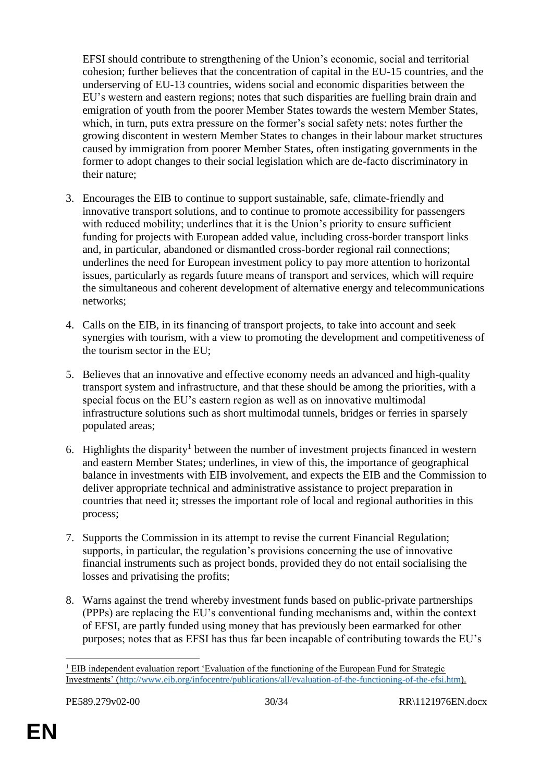EFSI should contribute to strengthening of the Union's economic, social and territorial cohesion; further believes that the concentration of capital in the EU-15 countries, and the underserving of EU-13 countries, widens social and economic disparities between the EU's western and eastern regions; notes that such disparities are fuelling brain drain and emigration of youth from the poorer Member States towards the western Member States, which, in turn, puts extra pressure on the former's social safety nets; notes further the growing discontent in western Member States to changes in their labour market structures caused by immigration from poorer Member States, often instigating governments in the former to adopt changes to their social legislation which are de-facto discriminatory in their nature;

- 3. Encourages the EIB to continue to support sustainable, safe, climate-friendly and innovative transport solutions, and to continue to promote accessibility for passengers with reduced mobility; underlines that it is the Union's priority to ensure sufficient funding for projects with European added value, including cross-border transport links and, in particular, abandoned or dismantled cross-border regional rail connections; underlines the need for European investment policy to pay more attention to horizontal issues, particularly as regards future means of transport and services, which will require the simultaneous and coherent development of alternative energy and telecommunications networks;
- 4. Calls on the EIB, in its financing of transport projects, to take into account and seek synergies with tourism, with a view to promoting the development and competitiveness of the tourism sector in the EU;
- 5. Believes that an innovative and effective economy needs an advanced and high-quality transport system and infrastructure, and that these should be among the priorities, with a special focus on the EU's eastern region as well as on innovative multimodal infrastructure solutions such as short multimodal tunnels, bridges or ferries in sparsely populated areas;
- 6. Highlights the disparity<sup>1</sup> between the number of investment projects financed in western and eastern Member States; underlines, in view of this, the importance of geographical balance in investments with EIB involvement, and expects the EIB and the Commission to deliver appropriate technical and administrative assistance to project preparation in countries that need it; stresses the important role of local and regional authorities in this process;
- 7. Supports the Commission in its attempt to revise the current Financial Regulation; supports, in particular, the regulation's provisions concerning the use of innovative financial instruments such as project bonds, provided they do not entail socialising the losses and privatising the profits;
- 8. Warns against the trend whereby investment funds based on public-private partnerships (PPPs) are replacing the EU's conventional funding mechanisms and, within the context of EFSI, are partly funded using money that has previously been earmarked for other purposes; notes that as EFSI has thus far been incapable of contributing towards the EU's

 $\overline{a}$ 

<sup>&</sup>lt;sup>1</sup> EIB independent evaluation report 'Evaluation of the functioning of the European Fund for Strategic Investments' [\(http://www.eib.org/infocentre/publications/all/evaluation-of-the-functioning-of-the-efsi.htm\)](http://www.eib.org/infocentre/publications/all/evaluation-of-the-functioning-of-the-efsi.htm).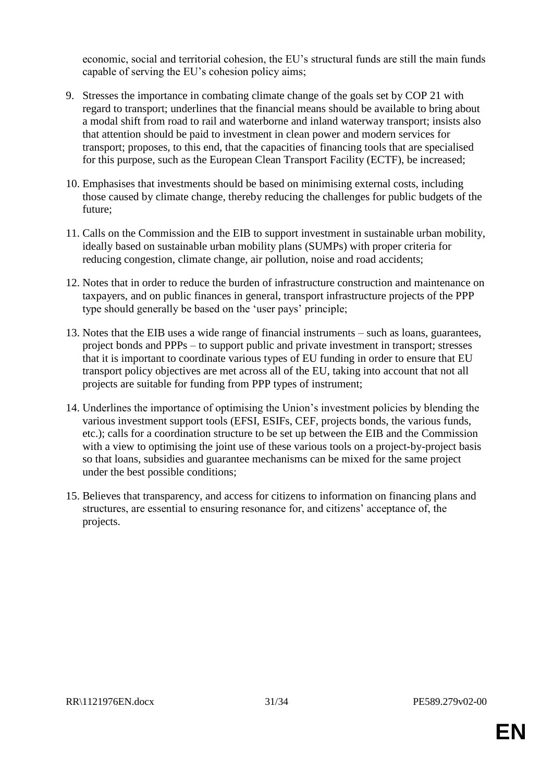economic, social and territorial cohesion, the EU's structural funds are still the main funds capable of serving the EU's cohesion policy aims;

- 9. Stresses the importance in combating climate change of the goals set by COP 21 with regard to transport; underlines that the financial means should be available to bring about a modal shift from road to rail and waterborne and inland waterway transport; insists also that attention should be paid to investment in clean power and modern services for transport; proposes, to this end, that the capacities of financing tools that are specialised for this purpose, such as the European Clean Transport Facility (ECTF), be increased;
- 10. Emphasises that investments should be based on minimising external costs, including those caused by climate change, thereby reducing the challenges for public budgets of the future;
- 11. Calls on the Commission and the EIB to support investment in sustainable urban mobility, ideally based on sustainable urban mobility plans (SUMPs) with proper criteria for reducing congestion, climate change, air pollution, noise and road accidents;
- 12. Notes that in order to reduce the burden of infrastructure construction and maintenance on taxpayers, and on public finances in general, transport infrastructure projects of the PPP type should generally be based on the 'user pays' principle;
- 13. Notes that the EIB uses a wide range of financial instruments such as loans, guarantees, project bonds and PPPs – to support public and private investment in transport; stresses that it is important to coordinate various types of EU funding in order to ensure that EU transport policy objectives are met across all of the EU, taking into account that not all projects are suitable for funding from PPP types of instrument;
- 14. Underlines the importance of optimising the Union's investment policies by blending the various investment support tools (EFSI, ESIFs, CEF, projects bonds, the various funds, etc.); calls for a coordination structure to be set up between the EIB and the Commission with a view to optimising the joint use of these various tools on a project-by-project basis so that loans, subsidies and guarantee mechanisms can be mixed for the same project under the best possible conditions;
- 15. Believes that transparency, and access for citizens to information on financing plans and structures, are essential to ensuring resonance for, and citizens' acceptance of, the projects.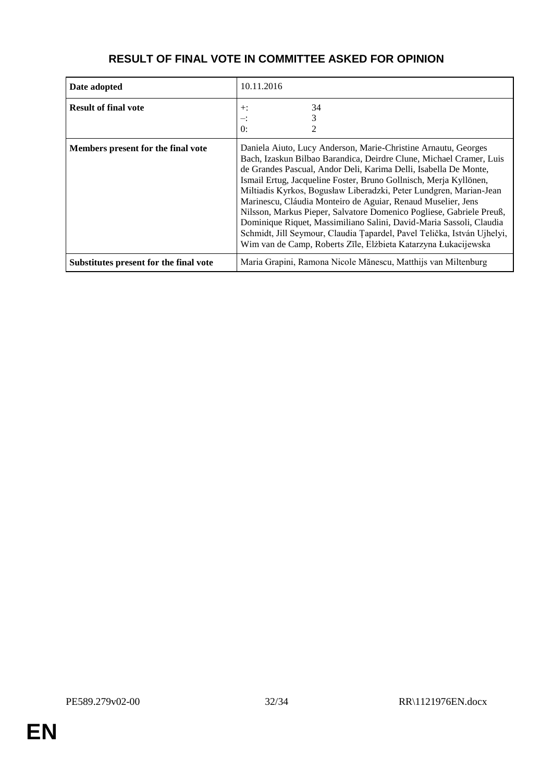| Date adopted                           | 10.11.2016                                                                                                                                                                                                                                                                                                                                                                                                                                                                                                                                                                                                                                                                                                       |
|----------------------------------------|------------------------------------------------------------------------------------------------------------------------------------------------------------------------------------------------------------------------------------------------------------------------------------------------------------------------------------------------------------------------------------------------------------------------------------------------------------------------------------------------------------------------------------------------------------------------------------------------------------------------------------------------------------------------------------------------------------------|
| <b>Result of final vote</b>            | 34<br>$+$ :<br>$-$ :<br>$\theta$ :                                                                                                                                                                                                                                                                                                                                                                                                                                                                                                                                                                                                                                                                               |
| Members present for the final vote     | Daniela Aiuto, Lucy Anderson, Marie-Christine Arnautu, Georges<br>Bach, Izaskun Bilbao Barandica, Deirdre Clune, Michael Cramer, Luis<br>de Grandes Pascual, Andor Deli, Karima Delli, Isabella De Monte,<br>Ismail Ertug, Jacqueline Foster, Bruno Gollnisch, Merja Kyllönen,<br>Miltiadis Kyrkos, Bogusław Liberadzki, Peter Lundgren, Marian-Jean<br>Marinescu, Cláudia Monteiro de Aguiar, Renaud Muselier, Jens<br>Nilsson, Markus Pieper, Salvatore Domenico Pogliese, Gabriele Preuß,<br>Dominique Riquet, Massimiliano Salini, David-Maria Sassoli, Claudia<br>Schmidt, Jill Seymour, Claudia Ţapardel, Pavel Telička, István Ujhelyi,<br>Wim van de Camp, Roberts Zīle, Elżbieta Katarzyna Łukacijewska |
| Substitutes present for the final vote | Maria Grapini, Ramona Nicole Mănescu, Matthijs van Miltenburg                                                                                                                                                                                                                                                                                                                                                                                                                                                                                                                                                                                                                                                    |

## **RESULT OF FINAL VOTE IN COMMITTEE ASKED FOR OPINION**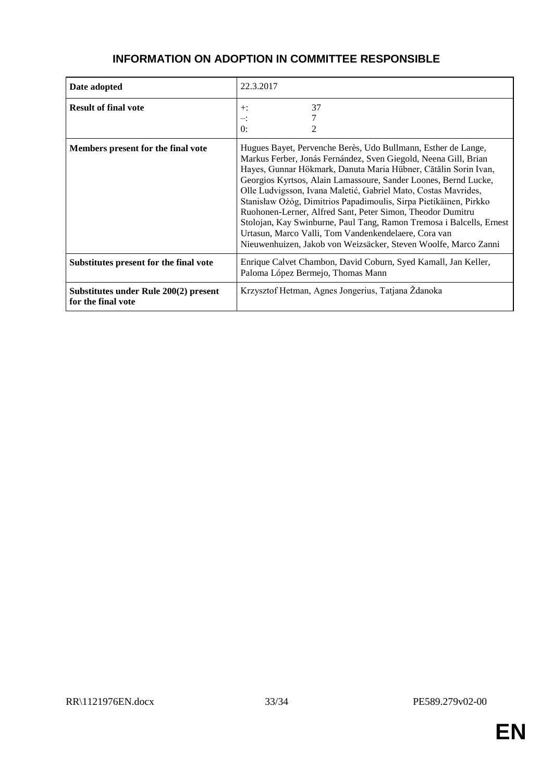| Date adopted                                                | 22.3.2017                                                                                                                                                                                                                                                                                                                                                                                                                                                                                                                                                                                                                                                                      |
|-------------------------------------------------------------|--------------------------------------------------------------------------------------------------------------------------------------------------------------------------------------------------------------------------------------------------------------------------------------------------------------------------------------------------------------------------------------------------------------------------------------------------------------------------------------------------------------------------------------------------------------------------------------------------------------------------------------------------------------------------------|
| <b>Result of final vote</b>                                 | 37<br>$+$ :<br>∹.<br>$\theta$ :                                                                                                                                                                                                                                                                                                                                                                                                                                                                                                                                                                                                                                                |
| Members present for the final vote                          | Hugues Bayet, Pervenche Berès, Udo Bullmann, Esther de Lange,<br>Markus Ferber, Jonás Fernández, Sven Giegold, Neena Gill, Brian<br>Hayes, Gunnar Hökmark, Danuta Maria Hübner, Cătălin Sorin Ivan,<br>Georgios Kyrtsos, Alain Lamassoure, Sander Loones, Bernd Lucke,<br>Olle Ludvigsson, Ivana Maletić, Gabriel Mato, Costas Mavrides,<br>Stanisław Ożóg, Dimitrios Papadimoulis, Sirpa Pietikäinen, Pirkko<br>Ruohonen-Lerner, Alfred Sant, Peter Simon, Theodor Dumitru<br>Stolojan, Kay Swinburne, Paul Tang, Ramon Tremosa i Balcells, Ernest<br>Urtasun, Marco Valli, Tom Vandenkendelaere, Cora van<br>Nieuwenhuizen, Jakob von Weizsäcker, Steven Woolfe, Marco Zanni |
| Substitutes present for the final vote                      | Enrique Calvet Chambon, David Coburn, Syed Kamall, Jan Keller,<br>Paloma López Bermejo, Thomas Mann                                                                                                                                                                                                                                                                                                                                                                                                                                                                                                                                                                            |
| Substitutes under Rule 200(2) present<br>for the final vote | Krzysztof Hetman, Agnes Jongerius, Tatjana Ždanoka                                                                                                                                                                                                                                                                                                                                                                                                                                                                                                                                                                                                                             |

### **INFORMATION ON ADOPTION IN COMMITTEE RESPONSIBLE**